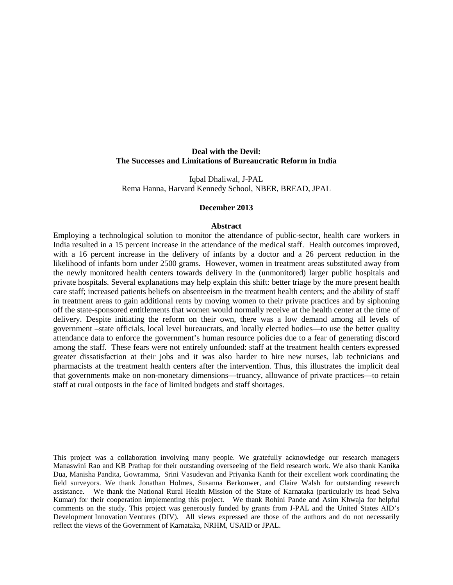## **Deal with the Devil: The Successes and Limitations of Bureaucratic Reform in India**

Iqbal Dhaliwal, J-PAL Rema Hanna, Harvard Kennedy School, NBER, BREAD, JPAL

#### **December 2013**

#### **Abstract**

Employing a technological solution to monitor the attendance of public-sector, health care workers in India resulted in a 15 percent increase in the attendance of the medical staff. Health outcomes improved, with a 16 percent increase in the delivery of infants by a doctor and a 26 percent reduction in the likelihood of infants born under 2500 grams. However, women in treatment areas substituted away from the newly monitored health centers towards delivery in the (unmonitored) larger public hospitals and private hospitals. Several explanations may help explain this shift: better triage by the more present health care staff; increased patients beliefs on absenteeism in the treatment health centers; and the ability of staff in treatment areas to gain additional rents by moving women to their private practices and by siphoning off the state-sponsored entitlements that women would normally receive at the health center at the time of delivery. Despite initiating the reform on their own, there was a low demand among all levels of government –state officials, local level bureaucrats, and locally elected bodies—to use the better quality attendance data to enforce the government's human resource policies due to a fear of generating discord among the staff. These fears were not entirely unfounded: staff at the treatment health centers expressed greater dissatisfaction at their jobs and it was also harder to hire new nurses, lab technicians and pharmacists at the treatment health centers after the intervention. Thus, this illustrates the implicit deal that governments make on non-monetary dimensions—truancy, allowance of private practices—to retain staff at rural outposts in the face of limited budgets and staff shortages.

This project was a collaboration involving many people. We gratefully acknowledge our research managers Manaswini Rao and KB Prathap for their outstanding overseeing of the field research work. We also thank Kanika Dua, Manisha Pandita, Gowramma, Srini Vasudevan and Priyanka Kanth for their excellent work coordinating the field surveyors. We thank Jonathan Holmes, Susanna Berkouwer, and Claire Walsh for outstanding research assistance. We thank the National Rural Health Mission of the State of Karnataka (particularly its head Selva Kumar) for their cooperation implementing this project. We thank Rohini Pande and Asim Khwaja for helpful comments on the study. This project was generously funded by grants from J-PAL and the United States AID's Development Innovation Ventures (DIV). All views expressed are those of the authors and do not necessarily reflect the views of the Government of Karnataka, NRHM, USAID or JPAL.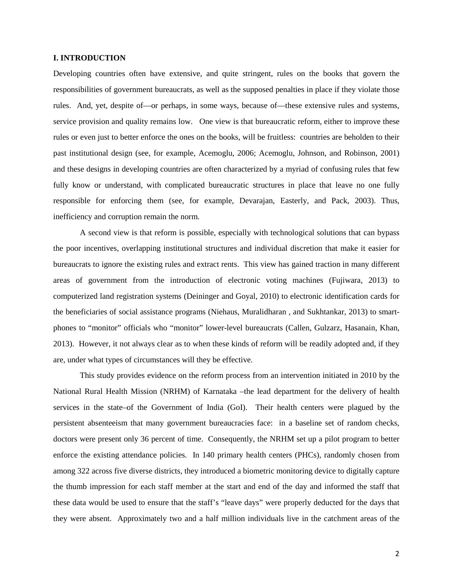## **I. INTRODUCTION**

Developing countries often have extensive, and quite stringent, rules on the books that govern the responsibilities of government bureaucrats, as well as the supposed penalties in place if they violate those rules. And, yet, despite of—or perhaps, in some ways, because of—these extensive rules and systems, service provision and quality remains low. One view is that bureaucratic reform, either to improve these rules or even just to better enforce the ones on the books, will be fruitless: countries are beholden to their past institutional design (see, for example, Acemoglu, 2006; Acemoglu, Johnson, and Robinson, 2001) and these designs in developing countries are often characterized by a myriad of confusing rules that few fully know or understand, with complicated bureaucratic structures in place that leave no one fully responsible for enforcing them (see, for example, Devarajan, Easterly, and Pack, 2003). Thus, inefficiency and corruption remain the norm.

A second view is that reform is possible, especially with technological solutions that can bypass the poor incentives, overlapping institutional structures and individual discretion that make it easier for bureaucrats to ignore the existing rules and extract rents. This view has gained traction in many different areas of government from the introduction of electronic voting machines (Fujiwara, 2013) to computerized land registration systems (Deininger and Goyal, 2010) to electronic identification cards for the beneficiaries of social assistance programs (Niehaus, Muralidharan , and Sukhtankar, 2013) to smartphones to "monitor" officials who "monitor" lower-level bureaucrats (Callen, Gulzarz, Hasanain, Khan, 2013). However, it not always clear as to when these kinds of reform will be readily adopted and, if they are, under what types of circumstances will they be effective.

This study provides evidence on the reform process from an intervention initiated in 2010 by the National Rural Health Mission (NRHM) of Karnataka –the lead department for the delivery of health services in the state–of the Government of India (GoI). Their health centers were plagued by the persistent absenteeism that many government bureaucracies face: in a baseline set of random checks, doctors were present only 36 percent of time. Consequently, the NRHM set up a pilot program to better enforce the existing attendance policies. In 140 primary health centers (PHCs), randomly chosen from among 322 across five diverse districts, they introduced a biometric monitoring device to digitally capture the thumb impression for each staff member at the start and end of the day and informed the staff that these data would be used to ensure that the staff's "leave days" were properly deducted for the days that they were absent. Approximately two and a half million individuals live in the catchment areas of the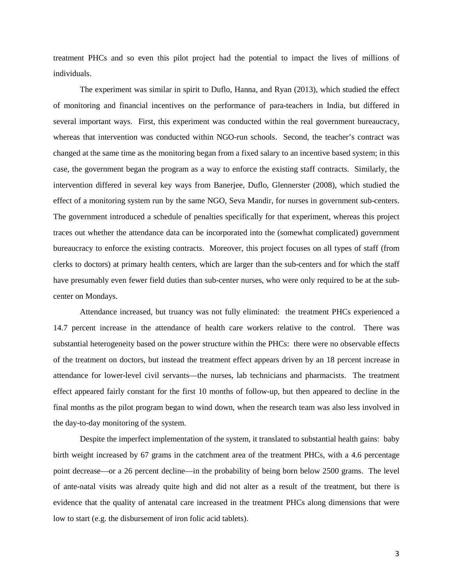treatment PHCs and so even this pilot project had the potential to impact the lives of millions of individuals.

The experiment was similar in spirit to Duflo, Hanna, and Ryan (2013), which studied the effect of monitoring and financial incentives on the performance of para-teachers in India, but differed in several important ways. First, this experiment was conducted within the real government bureaucracy, whereas that intervention was conducted within NGO-run schools. Second, the teacher's contract was changed at the same time as the monitoring began from a fixed salary to an incentive based system; in this case, the government began the program as a way to enforce the existing staff contracts. Similarly, the intervention differed in several key ways from Banerjee, Duflo, Glennerster (2008), which studied the effect of a monitoring system run by the same NGO, Seva Mandir, for nurses in government sub-centers. The government introduced a schedule of penalties specifically for that experiment, whereas this project traces out whether the attendance data can be incorporated into the (somewhat complicated) government bureaucracy to enforce the existing contracts. Moreover, this project focuses on all types of staff (from clerks to doctors) at primary health centers, which are larger than the sub-centers and for which the staff have presumably even fewer field duties than sub-center nurses, who were only required to be at the subcenter on Mondays.

Attendance increased, but truancy was not fully eliminated: the treatment PHCs experienced a 14.7 percent increase in the attendance of health care workers relative to the control. There was substantial heterogeneity based on the power structure within the PHCs: there were no observable effects of the treatment on doctors, but instead the treatment effect appears driven by an 18 percent increase in attendance for lower-level civil servants—the nurses, lab technicians and pharmacists. The treatment effect appeared fairly constant for the first 10 months of follow-up, but then appeared to decline in the final months as the pilot program began to wind down, when the research team was also less involved in the day-to-day monitoring of the system.

Despite the imperfect implementation of the system, it translated to substantial health gains: baby birth weight increased by 67 grams in the catchment area of the treatment PHCs, with a 4.6 percentage point decrease—or a 26 percent decline—in the probability of being born below 2500 grams. The level of ante-natal visits was already quite high and did not alter as a result of the treatment, but there is evidence that the quality of antenatal care increased in the treatment PHCs along dimensions that were low to start (e.g. the disbursement of iron folic acid tablets).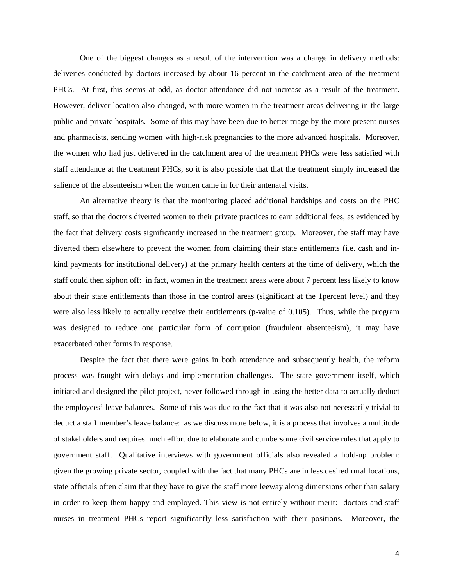One of the biggest changes as a result of the intervention was a change in delivery methods: deliveries conducted by doctors increased by about 16 percent in the catchment area of the treatment PHCs. At first, this seems at odd, as doctor attendance did not increase as a result of the treatment. However, deliver location also changed, with more women in the treatment areas delivering in the large public and private hospitals. Some of this may have been due to better triage by the more present nurses and pharmacists, sending women with high-risk pregnancies to the more advanced hospitals. Moreover, the women who had just delivered in the catchment area of the treatment PHCs were less satisfied with staff attendance at the treatment PHCs, so it is also possible that that the treatment simply increased the salience of the absenteeism when the women came in for their antenatal visits.

An alternative theory is that the monitoring placed additional hardships and costs on the PHC staff, so that the doctors diverted women to their private practices to earn additional fees, as evidenced by the fact that delivery costs significantly increased in the treatment group. Moreover, the staff may have diverted them elsewhere to prevent the women from claiming their state entitlements (i.e. cash and inkind payments for institutional delivery) at the primary health centers at the time of delivery, which the staff could then siphon off: in fact, women in the treatment areas were about 7 percent less likely to know about their state entitlements than those in the control areas (significant at the 1percent level) and they were also less likely to actually receive their entitlements (p-value of 0.105). Thus, while the program was designed to reduce one particular form of corruption (fraudulent absenteeism), it may have exacerbated other forms in response.

Despite the fact that there were gains in both attendance and subsequently health, the reform process was fraught with delays and implementation challenges. The state government itself, which initiated and designed the pilot project, never followed through in using the better data to actually deduct the employees' leave balances. Some of this was due to the fact that it was also not necessarily trivial to deduct a staff member's leave balance: as we discuss more below, it is a process that involves a multitude of stakeholders and requires much effort due to elaborate and cumbersome civil service rules that apply to government staff. Qualitative interviews with government officials also revealed a hold-up problem: given the growing private sector, coupled with the fact that many PHCs are in less desired rural locations, state officials often claim that they have to give the staff more leeway along dimensions other than salary in order to keep them happy and employed. This view is not entirely without merit: doctors and staff nurses in treatment PHCs report significantly less satisfaction with their positions. Moreover, the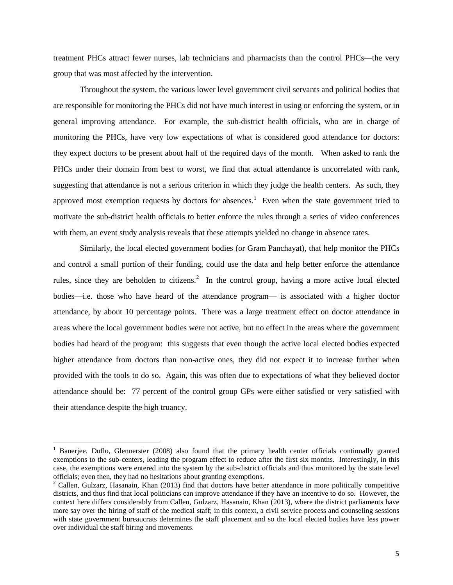treatment PHCs attract fewer nurses, lab technicians and pharmacists than the control PHCs—the very group that was most affected by the intervention.

Throughout the system, the various lower level government civil servants and political bodies that are responsible for monitoring the PHCs did not have much interest in using or enforcing the system, or in general improving attendance. For example, the sub-district health officials, who are in charge of monitoring the PHCs, have very low expectations of what is considered good attendance for doctors: they expect doctors to be present about half of the required days of the month. When asked to rank the PHCs under their domain from best to worst, we find that actual attendance is uncorrelated with rank, suggesting that attendance is not a serious criterion in which they judge the health centers. As such, they approved most exemption requests by doctors for absences.<sup>[1](#page-4-0)</sup> Even when the state government tried to motivate the sub-district health officials to better enforce the rules through a series of video conferences with them, an event study analysis reveals that these attempts yielded no change in absence rates.

Similarly, the local elected government bodies (or Gram Panchayat), that help monitor the PHCs and control a small portion of their funding, could use the data and help better enforce the attendance rules, since they are beholden to citizens.<sup>[2](#page-4-1)</sup> In the control group, having a more active local elected bodies—i.e. those who have heard of the attendance program— is associated with a higher doctor attendance, by about 10 percentage points. There was a large treatment effect on doctor attendance in areas where the local government bodies were not active, but no effect in the areas where the government bodies had heard of the program: this suggests that even though the active local elected bodies expected higher attendance from doctors than non-active ones, they did not expect it to increase further when provided with the tools to do so. Again, this was often due to expectations of what they believed doctor attendance should be: 77 percent of the control group GPs were either satisfied or very satisfied with their attendance despite the high truancy.

<span id="page-4-0"></span><sup>&</sup>lt;sup>1</sup> Banerjee, Duflo, Glennerster (2008) also found that the primary health center officials continually granted exemptions to the sub-centers, leading the program effect to reduce after the first six months. Interestingly, in this case, the exemptions were entered into the system by the sub-district officials and thus monitored by the state level officials; even then, they had no hesitations about granting exemptions.

<span id="page-4-1"></span> $2^2$  Callen, Gulzarz, Hasanain, Khan (2013) find that doctors have better attendance in more politically competitive districts, and thus find that local politicians can improve attendance if they have an incentive to do so. However, the context here differs considerably from Callen, Gulzarz, Hasanain, Khan (2013), where the district parliaments have more say over the hiring of staff of the medical staff; in this context, a civil service process and counseling sessions with state government bureaucrats determines the staff placement and so the local elected bodies have less power over individual the staff hiring and movements.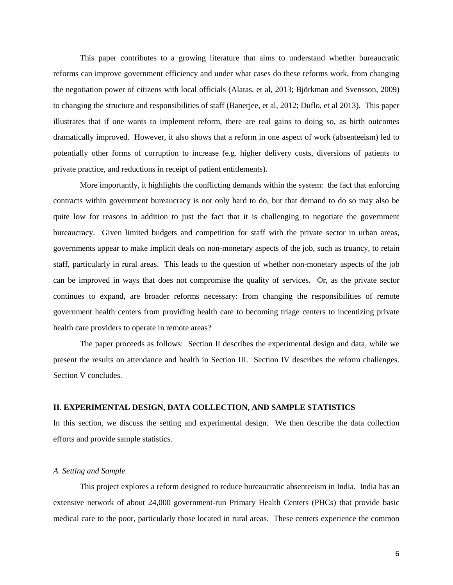This paper contributes to a growing literature that aims to understand whether bureaucratic reforms can improve government efficiency and under what cases do these reforms work, from changing the negotiation power of citizens with local officials (Alatas, et al, 2013; Björkman and Svensson, 2009) to changing the structure and responsibilities of staff (Banerjee, et al, 2012; Duflo, et al 2013). This paper illustrates that if one wants to implement reform, there are real gains to doing so, as birth outcomes dramatically improved. However, it also shows that a reform in one aspect of work (absenteeism) led to potentially other forms of corruption to increase (e.g. higher delivery costs, diversions of patients to private practice, and reductions in receipt of patient entitlements).

More importantly, it highlights the conflicting demands within the system: the fact that enforcing contracts within government bureaucracy is not only hard to do, but that demand to do so may also be quite low for reasons in addition to just the fact that it is challenging to negotiate the government bureaucracy. Given limited budgets and competition for staff with the private sector in urban areas, governments appear to make implicit deals on non-monetary aspects of the job, such as truancy, to retain staff, particularly in rural areas. This leads to the question of whether non-monetary aspects of the job can be improved in ways that does not compromise the quality of services. Or, as the private sector continues to expand, are broader reforms necessary: from changing the responsibilities of remote government health centers from providing health care to becoming triage centers to incentizing private health care providers to operate in remote areas?

The paper proceeds as follows: Section II describes the experimental design and data, while we present the results on attendance and health in Section III. Section IV describes the reform challenges. Section V concludes.

#### **II. EXPERIMENTAL DESIGN, DATA COLLECTION, AND SAMPLE STATISTICS**

In this section, we discuss the setting and experimental design. We then describe the data collection efforts and provide sample statistics.

## *A. Setting and Sample*

This project explores a reform designed to reduce bureaucratic absenteeism in India. India has an extensive network of about 24,000 government-run Primary Health Centers (PHCs) that provide basic medical care to the poor, particularly those located in rural areas. These centers experience the common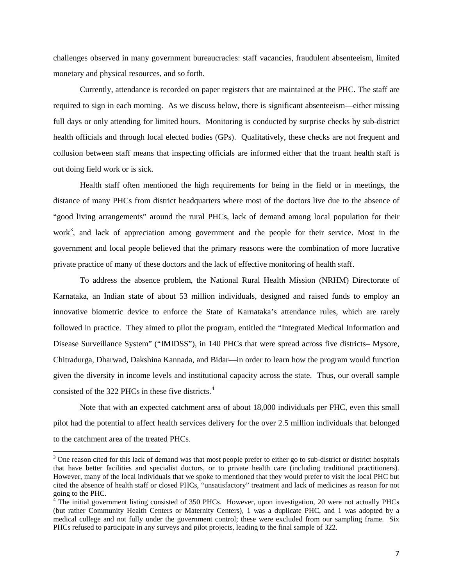challenges observed in many government bureaucracies: staff vacancies, fraudulent absenteeism, limited monetary and physical resources, and so forth.

Currently, attendance is recorded on paper registers that are maintained at the PHC. The staff are required to sign in each morning. As we discuss below, there is significant absenteeism—either missing full days or only attending for limited hours. Monitoring is conducted by surprise checks by sub-district health officials and through local elected bodies (GPs). Qualitatively, these checks are not frequent and collusion between staff means that inspecting officials are informed either that the truant health staff is out doing field work or is sick.

Health staff often mentioned the high requirements for being in the field or in meetings, the distance of many PHCs from district headquarters where most of the doctors live due to the absence of "good living arrangements" around the rural PHCs, lack of demand among local population for their work<sup>[3](#page-6-0)</sup>, and lack of appreciation among government and the people for their service. Most in the government and local people believed that the primary reasons were the combination of more lucrative private practice of many of these doctors and the lack of effective monitoring of health staff.

To address the absence problem, the National Rural Health Mission (NRHM) Directorate of Karnataka, an Indian state of about 53 million individuals, designed and raised funds to employ an innovative biometric device to enforce the State of Karnataka's attendance rules, which are rarely followed in practice. They aimed to pilot the program, entitled the "Integrated Medical Information and Disease Surveillance System" ("IMIDSS"), in 140 PHCs that were spread across five districts– Mysore, Chitradurga, Dharwad, Dakshina Kannada, and Bidar—in order to learn how the program would function given the diversity in income levels and institutional capacity across the state. Thus, our overall sample consisted of the 322 PHCs in these five districts. [4](#page-6-1)

Note that with an expected catchment area of about 18,000 individuals per PHC, even this small pilot had the potential to affect health services delivery for the over 2.5 million individuals that belonged to the catchment area of the treated PHCs.

<span id="page-6-0"></span><sup>&</sup>lt;sup>3</sup> One reason cited for this lack of demand was that most people prefer to either go to sub-district or district hospitals that have better facilities and specialist doctors, or to private health care (including traditional practitioners). However, many of the local individuals that we spoke to mentioned that they would prefer to visit the local PHC but cited the absence of health staff or closed PHCs, "unsatisfactory" treatment and lack of medicines as reason for not going to the PHC.

<span id="page-6-1"></span> $<sup>4</sup>$  The initial government listing consisted of 350 PHCs. However, upon investigation, 20 were not actually PHCs</sup> (but rather Community Health Centers or Maternity Centers), 1 was a duplicate PHC, and 1 was adopted by a medical college and not fully under the government control; these were excluded from our sampling frame. Six PHCs refused to participate in any surveys and pilot projects, leading to the final sample of 322.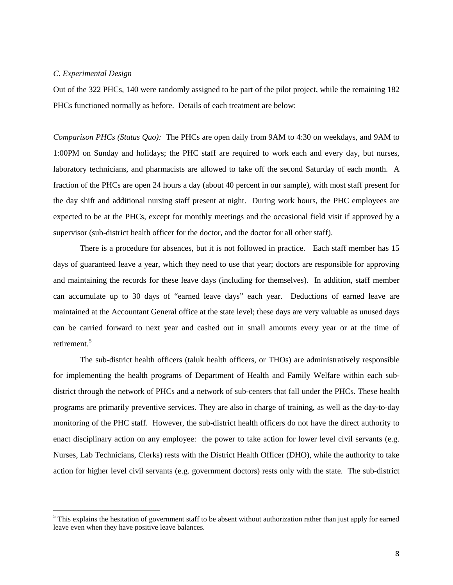## *C. Experimental Design*

Out of the 322 PHCs, 140 were randomly assigned to be part of the pilot project, while the remaining 182 PHCs functioned normally as before. Details of each treatment are below:

*Comparison PHCs (Status Quo):* The PHCs are open daily from 9AM to 4:30 on weekdays, and 9AM to 1:00PM on Sunday and holidays; the PHC staff are required to work each and every day, but nurses, laboratory technicians, and pharmacists are allowed to take off the second Saturday of each month. A fraction of the PHCs are open 24 hours a day (about 40 percent in our sample), with most staff present for the day shift and additional nursing staff present at night. During work hours, the PHC employees are expected to be at the PHCs, except for monthly meetings and the occasional field visit if approved by a supervisor (sub-district health officer for the doctor, and the doctor for all other staff).

There is a procedure for absences, but it is not followed in practice. Each staff member has 15 days of guaranteed leave a year, which they need to use that year; doctors are responsible for approving and maintaining the records for these leave days (including for themselves). In addition, staff member can accumulate up to 30 days of "earned leave days" each year. Deductions of earned leave are maintained at the Accountant General office at the state level; these days are very valuable as unused days can be carried forward to next year and cashed out in small amounts every year or at the time of retirement.<sup>[5](#page-7-0)</sup>

The sub-district health officers (taluk health officers, or THOs) are administratively responsible for implementing the health programs of Department of Health and Family Welfare within each subdistrict through the network of PHCs and a network of sub-centers that fall under the PHCs. These health programs are primarily preventive services. They are also in charge of training, as well as the day-to-day monitoring of the PHC staff. However, the sub-district health officers do not have the direct authority to enact disciplinary action on any employee: the power to take action for lower level civil servants (e.g. Nurses, Lab Technicians, Clerks) rests with the District Health Officer (DHO), while the authority to take action for higher level civil servants (e.g. government doctors) rests only with the state. The sub-district

<span id="page-7-0"></span> $<sup>5</sup>$  This explains the hesitation of government staff to be absent without authorization rather than just apply for earned</sup> leave even when they have positive leave balances.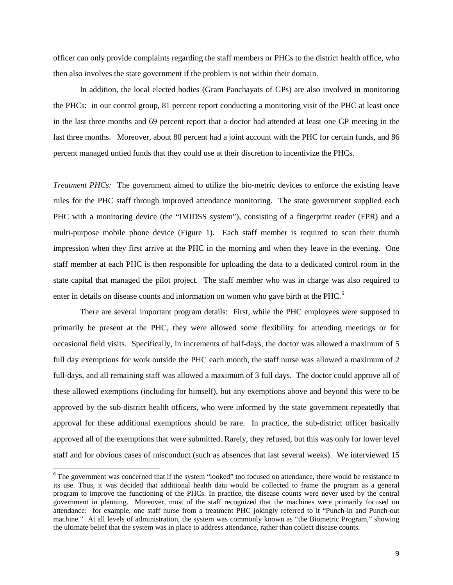officer can only provide complaints regarding the staff members or PHCs to the district health office, who then also involves the state government if the problem is not within their domain.

In addition, the local elected bodies (Gram Panchayats of GPs) are also involved in monitoring the PHCs: in our control group, 81 percent report conducting a monitoring visit of the PHC at least once in the last three months and 69 percent report that a doctor had attended at least one GP meeting in the last three months. Moreover, about 80 percent had a joint account with the PHC for certain funds, and 86 percent managed untied funds that they could use at their discretion to incentivize the PHCs.

*Treatment PHCs:* The government aimed to utilize the bio-metric devices to enforce the existing leave rules for the PHC staff through improved attendance monitoring. The state government supplied each PHC with a monitoring device (the "IMIDSS system"), consisting of a fingerprint reader (FPR) and a multi-purpose mobile phone device (Figure 1). Each staff member is required to scan their thumb impression when they first arrive at the PHC in the morning and when they leave in the evening. One staff member at each PHC is then responsible for uploading the data to a dedicated control room in the state capital that managed the pilot project. The staff member who was in charge was also required to enter in details on disease counts and information on women who gave birth at the PHC.<sup>[6](#page-8-0)</sup>

There are several important program details: First, while the PHC employees were supposed to primarily be present at the PHC, they were allowed some flexibility for attending meetings or for occasional field visits. Specifically, in increments of half-days, the doctor was allowed a maximum of 5 full day exemptions for work outside the PHC each month, the staff nurse was allowed a maximum of 2 full-days, and all remaining staff was allowed a maximum of 3 full days. The doctor could approve all of these allowed exemptions (including for himself), but any exemptions above and beyond this were to be approved by the sub-district health officers, who were informed by the state government repeatedly that approval for these additional exemptions should be rare. In practice, the sub-district officer basically approved all of the exemptions that were submitted. Rarely, they refused, but this was only for lower level staff and for obvious cases of misconduct (such as absences that last several weeks). We interviewed 15

<span id="page-8-0"></span><sup>&</sup>lt;sup>6</sup> The government was concerned that if the system "looked" too focused on attendance, there would be resistance to its use. Thus, it was decided that additional health data would be collected to frame the program as a general program to improve the functioning of the PHCs. In practice, the disease counts were never used by the central government in planning. Moreover, most of the staff recognized that the machines were primarily focused on attendance: for example, one staff nurse from a treatment PHC jokingly referred to it "Punch-in and Punch-out machine." At all levels of administration, the system was commonly known as "the Biometric Program," showing the ultimate belief that the system was in place to address attendance, rather than collect disease counts.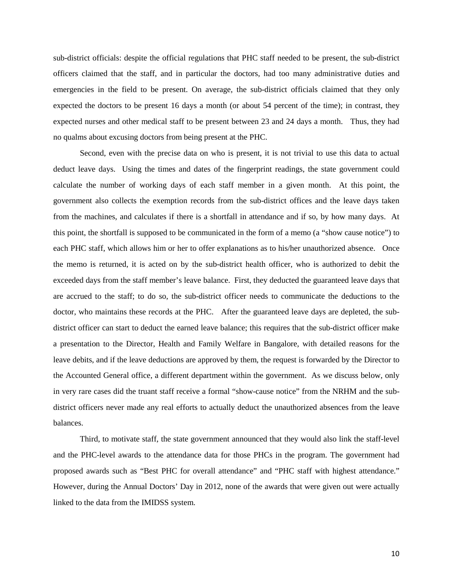sub-district officials: despite the official regulations that PHC staff needed to be present, the sub-district officers claimed that the staff, and in particular the doctors, had too many administrative duties and emergencies in the field to be present. On average, the sub-district officials claimed that they only expected the doctors to be present 16 days a month (or about 54 percent of the time); in contrast, they expected nurses and other medical staff to be present between 23 and 24 days a month. Thus, they had no qualms about excusing doctors from being present at the PHC.

Second, even with the precise data on who is present, it is not trivial to use this data to actual deduct leave days. Using the times and dates of the fingerprint readings, the state government could calculate the number of working days of each staff member in a given month. At this point, the government also collects the exemption records from the sub-district offices and the leave days taken from the machines, and calculates if there is a shortfall in attendance and if so, by how many days. At this point, the shortfall is supposed to be communicated in the form of a memo (a "show cause notice") to each PHC staff, which allows him or her to offer explanations as to his/her unauthorized absence. Once the memo is returned, it is acted on by the sub-district health officer, who is authorized to debit the exceeded days from the staff member's leave balance. First, they deducted the guaranteed leave days that are accrued to the staff; to do so, the sub-district officer needs to communicate the deductions to the doctor, who maintains these records at the PHC. After the guaranteed leave days are depleted, the subdistrict officer can start to deduct the earned leave balance; this requires that the sub-district officer make a presentation to the Director, Health and Family Welfare in Bangalore, with detailed reasons for the leave debits, and if the leave deductions are approved by them, the request is forwarded by the Director to the Accounted General office, a different department within the government. As we discuss below, only in very rare cases did the truant staff receive a formal "show-cause notice" from the NRHM and the subdistrict officers never made any real efforts to actually deduct the unauthorized absences from the leave balances.

Third, to motivate staff, the state government announced that they would also link the staff-level and the PHC-level awards to the attendance data for those PHCs in the program. The government had proposed awards such as "Best PHC for overall attendance" and "PHC staff with highest attendance." However, during the Annual Doctors' Day in 2012, none of the awards that were given out were actually linked to the data from the IMIDSS system.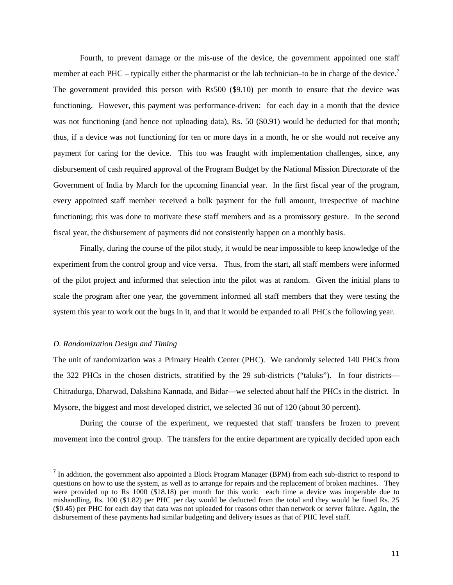Fourth, to prevent damage or the mis-use of the device, the government appointed one staff member at each PHC – typically either the pharmacist or the lab technician–to be in charge of the device.<sup>[7](#page-10-0)</sup> The government provided this person with Rs500 (\$9.10) per month to ensure that the device was functioning. However, this payment was performance-driven: for each day in a month that the device was not functioning (and hence not uploading data), Rs. 50 (\$0.91) would be deducted for that month; thus, if a device was not functioning for ten or more days in a month, he or she would not receive any payment for caring for the device. This too was fraught with implementation challenges, since, any disbursement of cash required approval of the Program Budget by the National Mission Directorate of the Government of India by March for the upcoming financial year. In the first fiscal year of the program, every appointed staff member received a bulk payment for the full amount, irrespective of machine functioning; this was done to motivate these staff members and as a promissory gesture. In the second fiscal year, the disbursement of payments did not consistently happen on a monthly basis.

Finally, during the course of the pilot study, it would be near impossible to keep knowledge of the experiment from the control group and vice versa. Thus, from the start, all staff members were informed of the pilot project and informed that selection into the pilot was at random. Given the initial plans to scale the program after one year, the government informed all staff members that they were testing the system this year to work out the bugs in it, and that it would be expanded to all PHCs the following year.

## *D. Randomization Design and Timing*

The unit of randomization was a Primary Health Center (PHC). We randomly selected 140 PHCs from the 322 PHCs in the chosen districts, stratified by the 29 sub-districts ("taluks"). In four districts— Chitradurga, Dharwad, Dakshina Kannada, and Bidar—we selected about half the PHCs in the district. In Mysore, the biggest and most developed district, we selected 36 out of 120 (about 30 percent).

During the course of the experiment, we requested that staff transfers be frozen to prevent movement into the control group. The transfers for the entire department are typically decided upon each

<span id="page-10-0"></span> $<sup>7</sup>$  In addition, the government also appointed a Block Program Manager (BPM) from each sub-district to respond to</sup> questions on how to use the system, as well as to arrange for repairs and the replacement of broken machines. They were provided up to Rs 1000 (\$18.18) per month for this work: each time a device was inoperable due to mishandling, Rs. 100 (\$1.82) per PHC per day would be deducted from the total and they would be fined Rs. 25 (\$0.45) per PHC for each day that data was not uploaded for reasons other than network or server failure. Again, the disbursement of these payments had similar budgeting and delivery issues as that of PHC level staff.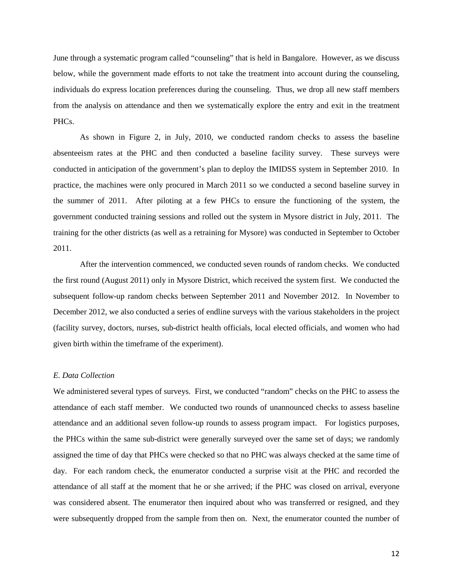June through a systematic program called "counseling" that is held in Bangalore. However, as we discuss below, while the government made efforts to not take the treatment into account during the counseling, individuals do express location preferences during the counseling. Thus, we drop all new staff members from the analysis on attendance and then we systematically explore the entry and exit in the treatment PHC<sub>s</sub>.

As shown in Figure 2, in July, 2010, we conducted random checks to assess the baseline absenteeism rates at the PHC and then conducted a baseline facility survey. These surveys were conducted in anticipation of the government's plan to deploy the IMIDSS system in September 2010. In practice, the machines were only procured in March 2011 so we conducted a second baseline survey in the summer of 2011. After piloting at a few PHCs to ensure the functioning of the system, the government conducted training sessions and rolled out the system in Mysore district in July, 2011. The training for the other districts (as well as a retraining for Mysore) was conducted in September to October 2011.

After the intervention commenced, we conducted seven rounds of random checks. We conducted the first round (August 2011) only in Mysore District, which received the system first. We conducted the subsequent follow-up random checks between September 2011 and November 2012. In November to December 2012, we also conducted a series of endline surveys with the various stakeholders in the project (facility survey, doctors, nurses, sub-district health officials, local elected officials, and women who had given birth within the timeframe of the experiment).

## *E. Data Collection*

We administered several types of surveys. First, we conducted "random" checks on the PHC to assess the attendance of each staff member. We conducted two rounds of unannounced checks to assess baseline attendance and an additional seven follow-up rounds to assess program impact. For logistics purposes, the PHCs within the same sub-district were generally surveyed over the same set of days; we randomly assigned the time of day that PHCs were checked so that no PHC was always checked at the same time of day. For each random check, the enumerator conducted a surprise visit at the PHC and recorded the attendance of all staff at the moment that he or she arrived; if the PHC was closed on arrival, everyone was considered absent. The enumerator then inquired about who was transferred or resigned, and they were subsequently dropped from the sample from then on. Next, the enumerator counted the number of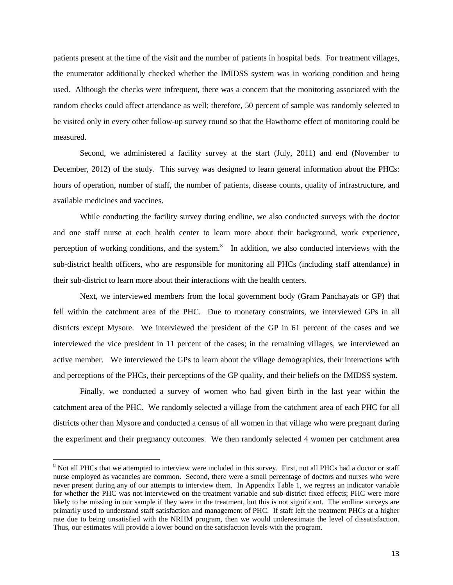patients present at the time of the visit and the number of patients in hospital beds. For treatment villages, the enumerator additionally checked whether the IMIDSS system was in working condition and being used. Although the checks were infrequent, there was a concern that the monitoring associated with the random checks could affect attendance as well; therefore, 50 percent of sample was randomly selected to be visited only in every other follow-up survey round so that the Hawthorne effect of monitoring could be measured.

Second, we administered a facility survey at the start (July, 2011) and end (November to December, 2012) of the study. This survey was designed to learn general information about the PHCs: hours of operation, number of staff, the number of patients, disease counts, quality of infrastructure, and available medicines and vaccines.

While conducting the facility survey during endline, we also conducted surveys with the doctor and one staff nurse at each health center to learn more about their background, work experience, perception of working conditions, and the system.<sup>[8](#page-12-0)</sup> In addition, we also conducted interviews with the sub-district health officers, who are responsible for monitoring all PHCs (including staff attendance) in their sub-district to learn more about their interactions with the health centers.

Next, we interviewed members from the local government body (Gram Panchayats or GP) that fell within the catchment area of the PHC. Due to monetary constraints, we interviewed GPs in all districts except Mysore. We interviewed the president of the GP in 61 percent of the cases and we interviewed the vice president in 11 percent of the cases; in the remaining villages, we interviewed an active member. We interviewed the GPs to learn about the village demographics, their interactions with and perceptions of the PHCs, their perceptions of the GP quality, and their beliefs on the IMIDSS system.

Finally, we conducted a survey of women who had given birth in the last year within the catchment area of the PHC. We randomly selected a village from the catchment area of each PHC for all districts other than Mysore and conducted a census of all women in that village who were pregnant during the experiment and their pregnancy outcomes. We then randomly selected 4 women per catchment area

<span id="page-12-0"></span><sup>&</sup>lt;sup>8</sup> Not all PHCs that we attempted to interview were included in this survey. First, not all PHCs had a doctor or staff nurse employed as vacancies are common. Second, there were a small percentage of doctors and nurses who were never present during any of our attempts to interview them. In Appendix Table 1, we regress an indicator variable for whether the PHC was not interviewed on the treatment variable and sub-district fixed effects; PHC were more likely to be missing in our sample if they were in the treatment, but this is not significant. The endline surveys are primarily used to understand staff satisfaction and management of PHC. If staff left the treatment PHCs at a higher rate due to being unsatisfied with the NRHM program, then we would underestimate the level of dissatisfaction. Thus, our estimates will provide a lower bound on the satisfaction levels with the program.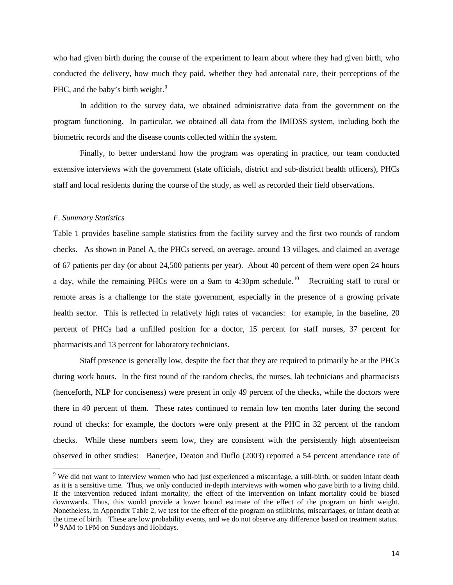who had given birth during the course of the experiment to learn about where they had given birth, who conducted the delivery, how much they paid, whether they had antenatal care, their perceptions of the PHC, and the baby's birth weight.<sup>[9](#page-13-0)</sup>

In addition to the survey data, we obtained administrative data from the government on the program functioning. In particular, we obtained all data from the IMIDSS system, including both the biometric records and the disease counts collected within the system.

Finally, to better understand how the program was operating in practice, our team conducted extensive interviews with the government (state officials, district and sub-districtt health officers), PHCs staff and local residents during the course of the study, as well as recorded their field observations.

#### *F. Summary Statistics*

Table 1 provides baseline sample statistics from the facility survey and the first two rounds of random checks. As shown in Panel A, the PHCs served, on average, around 13 villages, and claimed an average of 67 patients per day (or about 24,500 patients per year). About 40 percent of them were open 24 hours a day, while the remaining PHCs were on a 9am to 4:30pm schedule.<sup>[10](#page-13-1)</sup> Recruiting staff to rural or remote areas is a challenge for the state government, especially in the presence of a growing private health sector. This is reflected in relatively high rates of vacancies: for example, in the baseline, 20 percent of PHCs had a unfilled position for a doctor, 15 percent for staff nurses, 37 percent for pharmacists and 13 percent for laboratory technicians.

Staff presence is generally low, despite the fact that they are required to primarily be at the PHCs during work hours. In the first round of the random checks, the nurses, lab technicians and pharmacists (henceforth, NLP for conciseness) were present in only 49 percent of the checks, while the doctors were there in 40 percent of them. These rates continued to remain low ten months later during the second round of checks: for example, the doctors were only present at the PHC in 32 percent of the random checks. While these numbers seem low, they are consistent with the persistently high absenteeism observed in other studies: Banerjee, Deaton and Duflo (2003) reported a 54 percent attendance rate of

<span id="page-13-1"></span><span id="page-13-0"></span><sup>&</sup>lt;sup>9</sup> We did not want to interview women who had just experienced a miscarriage, a still-birth, or sudden infant death as it is a sensitive time. Thus, we only conducted in-depth interviews with women who gave birth to a living child. If the intervention reduced infant mortality, the effect of the intervention on infant mortality could be biased downwards. Thus, this would provide a lower bound estimate of the effect of the program on birth weight. Nonetheless, in Appendix Table 2, we test for the effect of the program on stillbirths, miscarriages, or infant death at the time of birth. These are low probability events, and we do not observe any difference based on treatment status. <sup>10</sup> 9AM to 1PM on Sundays and Holidays.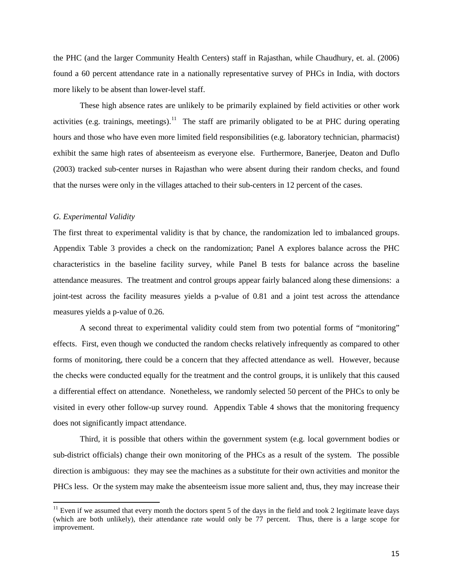the PHC (and the larger Community Health Centers) staff in Rajasthan, while Chaudhury, et. al. (2006) found a 60 percent attendance rate in a nationally representative survey of PHCs in India, with doctors more likely to be absent than lower-level staff.

These high absence rates are unlikely to be primarily explained by field activities or other work activities (e.g. trainings, meetings).<sup>11</sup> The staff are primarily obligated to be at PHC during operating hours and those who have even more limited field responsibilities (e.g. laboratory technician, pharmacist) exhibit the same high rates of absenteeism as everyone else. Furthermore, Banerjee, Deaton and Duflo (2003) tracked sub-center nurses in Rajasthan who were absent during their random checks, and found that the nurses were only in the villages attached to their sub-centers in 12 percent of the cases.

#### *G. Experimental Validity*

The first threat to experimental validity is that by chance, the randomization led to imbalanced groups. Appendix Table 3 provides a check on the randomization; Panel A explores balance across the PHC characteristics in the baseline facility survey, while Panel B tests for balance across the baseline attendance measures. The treatment and control groups appear fairly balanced along these dimensions: a joint-test across the facility measures yields a p-value of 0.81 and a joint test across the attendance measures yields a p-value of 0.26.

A second threat to experimental validity could stem from two potential forms of "monitoring" effects. First, even though we conducted the random checks relatively infrequently as compared to other forms of monitoring, there could be a concern that they affected attendance as well. However, because the checks were conducted equally for the treatment and the control groups, it is unlikely that this caused a differential effect on attendance. Nonetheless, we randomly selected 50 percent of the PHCs to only be visited in every other follow-up survey round. Appendix Table 4 shows that the monitoring frequency does not significantly impact attendance.

Third, it is possible that others within the government system (e.g. local government bodies or sub-district officials) change their own monitoring of the PHCs as a result of the system. The possible direction is ambiguous: they may see the machines as a substitute for their own activities and monitor the PHCs less. Or the system may make the absenteeism issue more salient and, thus, they may increase their

<span id="page-14-0"></span> $11$  Even if we assumed that every month the doctors spent 5 of the days in the field and took 2 legitimate leave days (which are both unlikely), their attendance rate would only be 77 percent. Thus, there is a large scope for improvement.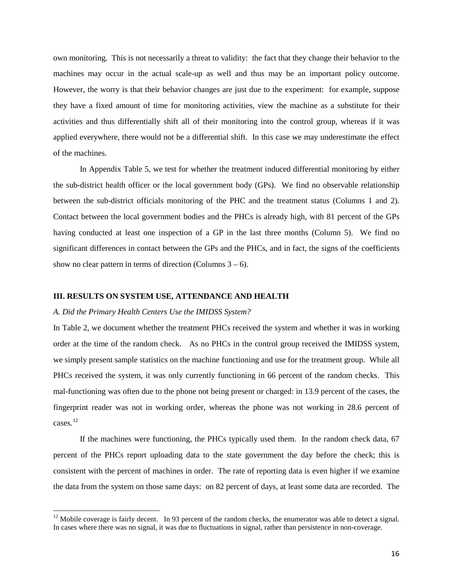own monitoring. This is not necessarily a threat to validity: the fact that they change their behavior to the machines may occur in the actual scale-up as well and thus may be an important policy outcome. However, the worry is that their behavior changes are just due to the experiment: for example, suppose they have a fixed amount of time for monitoring activities, view the machine as a substitute for their activities and thus differentially shift all of their monitoring into the control group, whereas if it was applied everywhere, there would not be a differential shift. In this case we may underestimate the effect of the machines.

In Appendix Table 5, we test for whether the treatment induced differential monitoring by either the sub-district health officer or the local government body (GPs). We find no observable relationship between the sub-district officials monitoring of the PHC and the treatment status (Columns 1 and 2). Contact between the local government bodies and the PHCs is already high, with 81 percent of the GPs having conducted at least one inspection of a GP in the last three months (Column 5). We find no significant differences in contact between the GPs and the PHCs, and in fact, the signs of the coefficients show no clear pattern in terms of direction (Columns  $3 - 6$ ).

## **III. RESULTS ON SYSTEM USE, ATTENDANCE AND HEALTH**

#### *A. Did the Primary Health Centers Use the IMIDSS System?*

In Table 2, we document whether the treatment PHCs received the system and whether it was in working order at the time of the random check. As no PHCs in the control group received the IMIDSS system, we simply present sample statistics on the machine functioning and use for the treatment group. While all PHCs received the system, it was only currently functioning in 66 percent of the random checks. This mal-functioning was often due to the phone not being present or charged: in 13.9 percent of the cases, the fingerprint reader was not in working order, whereas the phone was not working in 28.6 percent of cases. [12](#page-15-0)

If the machines were functioning, the PHCs typically used them. In the random check data, 67 percent of the PHCs report uploading data to the state government the day before the check; this is consistent with the percent of machines in order. The rate of reporting data is even higher if we examine the data from the system on those same days: on 82 percent of days, at least some data are recorded. The

<span id="page-15-0"></span> $12$  Mobile coverage is fairly decent. In 93 percent of the random checks, the enumerator was able to detect a signal. In cases where there was no signal, it was due to fluctuations in signal, rather than persistence in non-coverage.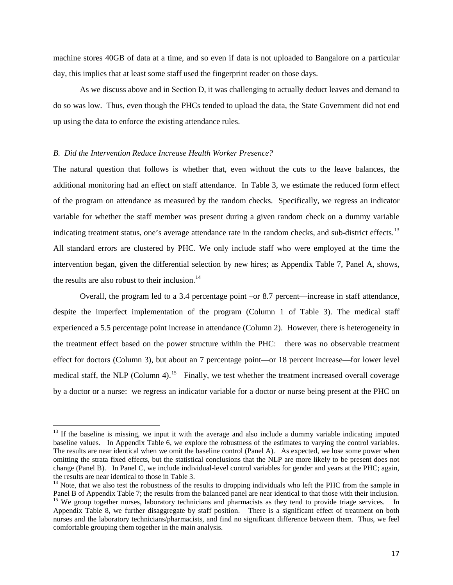machine stores 40GB of data at a time, and so even if data is not uploaded to Bangalore on a particular day, this implies that at least some staff used the fingerprint reader on those days.

As we discuss above and in Section D, it was challenging to actually deduct leaves and demand to do so was low. Thus, even though the PHCs tended to upload the data, the State Government did not end up using the data to enforce the existing attendance rules.

## *B. Did the Intervention Reduce Increase Health Worker Presence?*

The natural question that follows is whether that, even without the cuts to the leave balances, the additional monitoring had an effect on staff attendance. In Table 3, we estimate the reduced form effect of the program on attendance as measured by the random checks. Specifically, we regress an indicator variable for whether the staff member was present during a given random check on a dummy variable indicating treatment status, one's average attendance rate in the random checks, and sub-district effects.<sup>[13](#page-16-0)</sup> All standard errors are clustered by PHC. We only include staff who were employed at the time the intervention began, given the differential selection by new hires; as Appendix Table 7, Panel A, shows, the results are also robust to their inclusion.<sup>[14](#page-16-1)</sup>

Overall, the program led to a 3.4 percentage point –or 8.7 percent—increase in staff attendance, despite the imperfect implementation of the program (Column 1 of Table 3). The medical staff experienced a 5.5 percentage point increase in attendance (Column 2). However, there is heterogeneity in the treatment effect based on the power structure within the PHC: there was no observable treatment effect for doctors (Column 3), but about an 7 percentage point—or 18 percent increase—for lower level medical staff, the NLP (Column 4).<sup>[15](#page-16-2)</sup> Finally, we test whether the treatment increased overall coverage by a doctor or a nurse: we regress an indicator variable for a doctor or nurse being present at the PHC on

<span id="page-16-0"></span> $13$  If the baseline is missing, we input it with the average and also include a dummy variable indicating imputed baseline values. In Appendix Table 6, we explore the robustness of the estimates to varying the control variables. The results are near identical when we omit the baseline control (Panel A). As expected, we lose some power when omitting the strata fixed effects, but the statistical conclusions that the NLP are more likely to be present does not change (Panel B). In Panel C, we include individual-level control variables for gender and years at the PHC; again, the results are near identical to those in Table 3.

<span id="page-16-2"></span><span id="page-16-1"></span><sup>&</sup>lt;sup>14</sup> Note, that we also test the robustness of the results to dropping individuals who left the PHC from the sample in Panel B of Appendix Table 7; the results from the balanced panel are near identical to that those with <sup>15</sup> We group together nurses, laboratory technicians and pharmacists as they tend to provide triage services. In Appendix Table 8, we further disaggregate by staff position. There is a significant effect of treatment on both nurses and the laboratory technicians/pharmacists, and find no significant difference between them. Thus, we feel comfortable grouping them together in the main analysis.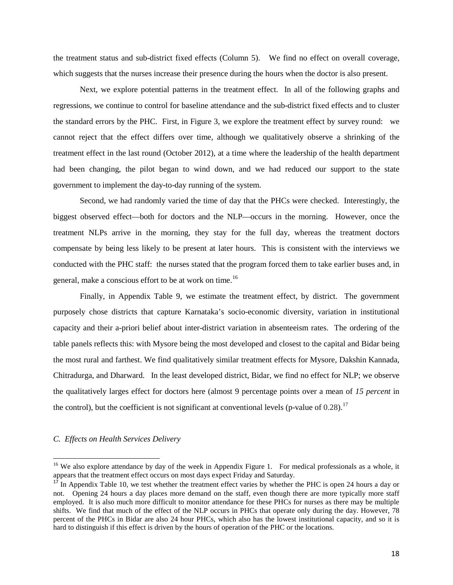the treatment status and sub-district fixed effects (Column 5). We find no effect on overall coverage, which suggests that the nurses increase their presence during the hours when the doctor is also present.

Next, we explore potential patterns in the treatment effect. In all of the following graphs and regressions, we continue to control for baseline attendance and the sub-district fixed effects and to cluster the standard errors by the PHC. First, in Figure 3, we explore the treatment effect by survey round: we cannot reject that the effect differs over time, although we qualitatively observe a shrinking of the treatment effect in the last round (October 2012), at a time where the leadership of the health department had been changing, the pilot began to wind down, and we had reduced our support to the state government to implement the day-to-day running of the system.

Second, we had randomly varied the time of day that the PHCs were checked. Interestingly, the biggest observed effect—both for doctors and the NLP—occurs in the morning. However, once the treatment NLPs arrive in the morning, they stay for the full day, whereas the treatment doctors compensate by being less likely to be present at later hours. This is consistent with the interviews we conducted with the PHC staff: the nurses stated that the program forced them to take earlier buses and, in general, make a conscious effort to be at work on time.<sup>[16](#page-17-0)</sup>

Finally, in Appendix Table 9, we estimate the treatment effect, by district. The government purposely chose districts that capture Karnataka's socio-economic diversity, variation in institutional capacity and their a-priori belief about inter-district variation in absenteeism rates. The ordering of the table panels reflects this: with Mysore being the most developed and closest to the capital and Bidar being the most rural and farthest. We find qualitatively similar treatment effects for Mysore, Dakshin Kannada, Chitradurga, and Dharward. In the least developed district, Bidar, we find no effect for NLP; we observe the qualitatively larges effect for doctors here (almost 9 percentage points over a mean of *15 percent* in the control), but the coefficient is not significant at conventional levels (p-value of  $0.28$ ).<sup>[17](#page-17-1)</sup>

## *C. Effects on Health Services Delivery*

<span id="page-17-0"></span><sup>&</sup>lt;sup>16</sup> We also explore attendance by day of the week in Appendix Figure 1. For medical professionals as a whole, it appears that the treatment effect occurs on most days expect Friday and Saturday.

<span id="page-17-1"></span>In Appendix Table 10, we test whether the treatment effect varies by whether the PHC is open 24 hours a day or not. Opening 24 hours a day places more demand on the staff, even though there are more typically more staff employed. It is also much more difficult to monitor attendance for these PHCs for nurses as there may be multiple shifts. We find that much of the effect of the NLP occurs in PHCs that operate only during the day. However, 78 percent of the PHCs in Bidar are also 24 hour PHCs, which also has the lowest institutional capacity, and so it is hard to distinguish if this effect is driven by the hours of operation of the PHC or the locations.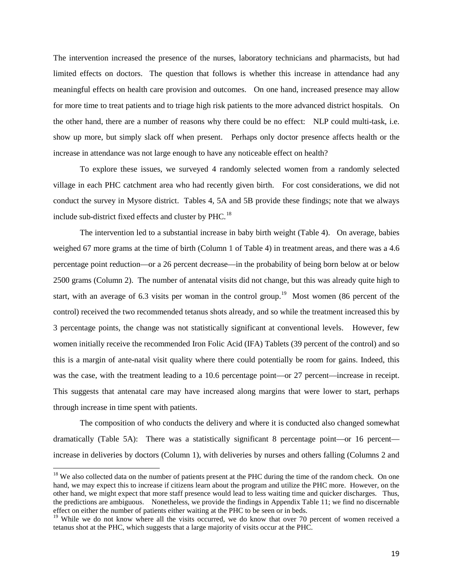The intervention increased the presence of the nurses, laboratory technicians and pharmacists, but had limited effects on doctors. The question that follows is whether this increase in attendance had any meaningful effects on health care provision and outcomes. On one hand, increased presence may allow for more time to treat patients and to triage high risk patients to the more advanced district hospitals. On the other hand, there are a number of reasons why there could be no effect: NLP could multi-task, i.e. show up more, but simply slack off when present. Perhaps only doctor presence affects health or the increase in attendance was not large enough to have any noticeable effect on health?

To explore these issues, we surveyed 4 randomly selected women from a randomly selected village in each PHC catchment area who had recently given birth. For cost considerations, we did not conduct the survey in Mysore district. Tables 4, 5A and 5B provide these findings; note that we always include sub-district fixed effects and cluster by PHC.<sup>[18](#page-18-0)</sup>

The intervention led to a substantial increase in baby birth weight (Table 4). On average, babies weighed 67 more grams at the time of birth (Column 1 of Table 4) in treatment areas, and there was a 4.6 percentage point reduction—or a 26 percent decrease—in the probability of being born below at or below 2500 grams (Column 2). The number of antenatal visits did not change, but this was already quite high to start, with an average of 6.3 visits per woman in the control group.<sup>[19](#page-18-1)</sup> Most women (86 percent of the control) received the two recommended tetanus shots already, and so while the treatment increased this by 3 percentage points, the change was not statistically significant at conventional levels. However, few women initially receive the recommended Iron Folic Acid (IFA) Tablets (39 percent of the control) and so this is a margin of ante-natal visit quality where there could potentially be room for gains. Indeed, this was the case, with the treatment leading to a 10.6 percentage point—or 27 percent—increase in receipt. This suggests that antenatal care may have increased along margins that were lower to start, perhaps through increase in time spent with patients.

The composition of who conducts the delivery and where it is conducted also changed somewhat dramatically (Table 5A): There was a statistically significant 8 percentage point—or 16 percent increase in deliveries by doctors (Column 1), with deliveries by nurses and others falling (Columns 2 and

<span id="page-18-0"></span><sup>&</sup>lt;sup>18</sup> We also collected data on the number of patients present at the PHC during the time of the random check. On one hand, we may expect this to increase if citizens learn about the program and utilize the PHC more. However, on the other hand, we might expect that more staff presence would lead to less waiting time and quicker discharges. Thus, the predictions are ambiguous. Nonetheless, we provide the findings in Appendix Table 11; we find no discernable effect on either the number of patients either waiting at the PHC to be seen or in beds.

<span id="page-18-1"></span><sup>&</sup>lt;sup>19</sup> While we do not know where all the visits occurred, we do know that over 70 percent of women received a tetanus shot at the PHC, which suggests that a large majority of visits occur at the PHC.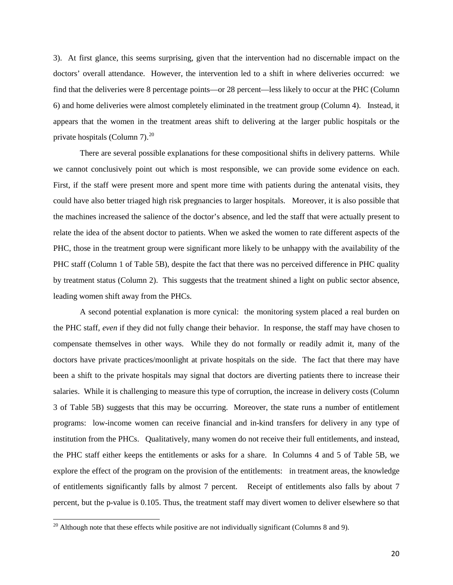3). At first glance, this seems surprising, given that the intervention had no discernable impact on the doctors' overall attendance. However, the intervention led to a shift in where deliveries occurred: we find that the deliveries were 8 percentage points—or 28 percent—less likely to occur at the PHC (Column 6) and home deliveries were almost completely eliminated in the treatment group (Column 4). Instead, it appears that the women in the treatment areas shift to delivering at the larger public hospitals or the private hospitals (Column 7).<sup>[20](#page-19-0)</sup>

There are several possible explanations for these compositional shifts in delivery patterns. While we cannot conclusively point out which is most responsible, we can provide some evidence on each. First, if the staff were present more and spent more time with patients during the antenatal visits, they could have also better triaged high risk pregnancies to larger hospitals. Moreover, it is also possible that the machines increased the salience of the doctor's absence, and led the staff that were actually present to relate the idea of the absent doctor to patients. When we asked the women to rate different aspects of the PHC, those in the treatment group were significant more likely to be unhappy with the availability of the PHC staff (Column 1 of Table 5B), despite the fact that there was no perceived difference in PHC quality by treatment status (Column 2). This suggests that the treatment shined a light on public sector absence, leading women shift away from the PHCs.

A second potential explanation is more cynical: the monitoring system placed a real burden on the PHC staff, *even* if they did not fully change their behavior. In response, the staff may have chosen to compensate themselves in other ways. While they do not formally or readily admit it, many of the doctors have private practices/moonlight at private hospitals on the side. The fact that there may have been a shift to the private hospitals may signal that doctors are diverting patients there to increase their salaries. While it is challenging to measure this type of corruption, the increase in delivery costs (Column 3 of Table 5B) suggests that this may be occurring. Moreover, the state runs a number of entitlement programs: low-income women can receive financial and in-kind transfers for delivery in any type of institution from the PHCs. Qualitatively, many women do not receive their full entitlements, and instead, the PHC staff either keeps the entitlements or asks for a share. In Columns 4 and 5 of Table 5B, we explore the effect of the program on the provision of the entitlements: in treatment areas, the knowledge of entitlements significantly falls by almost 7 percent. Receipt of entitlements also falls by about 7 percent, but the p-value is 0.105. Thus, the treatment staff may divert women to deliver elsewhere so that

<span id="page-19-0"></span> $20$  Although note that these effects while positive are not individually significant (Columns 8 and 9).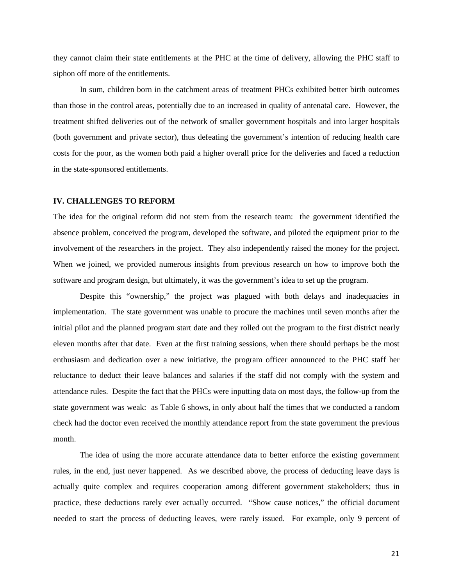they cannot claim their state entitlements at the PHC at the time of delivery, allowing the PHC staff to siphon off more of the entitlements.

In sum, children born in the catchment areas of treatment PHCs exhibited better birth outcomes than those in the control areas, potentially due to an increased in quality of antenatal care. However, the treatment shifted deliveries out of the network of smaller government hospitals and into larger hospitals (both government and private sector), thus defeating the government's intention of reducing health care costs for the poor, as the women both paid a higher overall price for the deliveries and faced a reduction in the state-sponsored entitlements.

### **IV. CHALLENGES TO REFORM**

The idea for the original reform did not stem from the research team: the government identified the absence problem, conceived the program, developed the software, and piloted the equipment prior to the involvement of the researchers in the project. They also independently raised the money for the project. When we joined, we provided numerous insights from previous research on how to improve both the software and program design, but ultimately, it was the government's idea to set up the program.

Despite this "ownership," the project was plagued with both delays and inadequacies in implementation. The state government was unable to procure the machines until seven months after the initial pilot and the planned program start date and they rolled out the program to the first district nearly eleven months after that date. Even at the first training sessions, when there should perhaps be the most enthusiasm and dedication over a new initiative, the program officer announced to the PHC staff her reluctance to deduct their leave balances and salaries if the staff did not comply with the system and attendance rules. Despite the fact that the PHCs were inputting data on most days, the follow-up from the state government was weak: as Table 6 shows, in only about half the times that we conducted a random check had the doctor even received the monthly attendance report from the state government the previous month.

The idea of using the more accurate attendance data to better enforce the existing government rules, in the end, just never happened. As we described above, the process of deducting leave days is actually quite complex and requires cooperation among different government stakeholders; thus in practice, these deductions rarely ever actually occurred. "Show cause notices," the official document needed to start the process of deducting leaves, were rarely issued. For example, only 9 percent of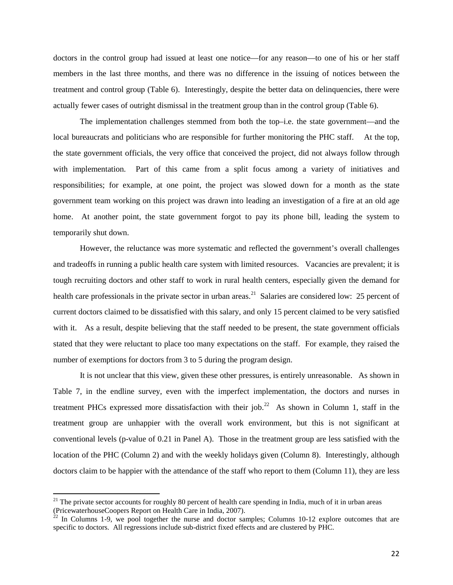doctors in the control group had issued at least one notice—for any reason—to one of his or her staff members in the last three months, and there was no difference in the issuing of notices between the treatment and control group (Table 6). Interestingly, despite the better data on delinquencies, there were actually fewer cases of outright dismissal in the treatment group than in the control group (Table 6).

The implementation challenges stemmed from both the top–i.e. the state government—and the local bureaucrats and politicians who are responsible for further monitoring the PHC staff. At the top, the state government officials, the very office that conceived the project, did not always follow through with implementation. Part of this came from a split focus among a variety of initiatives and responsibilities; for example, at one point, the project was slowed down for a month as the state government team working on this project was drawn into leading an investigation of a fire at an old age home. At another point, the state government forgot to pay its phone bill, leading the system to temporarily shut down.

However, the reluctance was more systematic and reflected the government's overall challenges and tradeoffs in running a public health care system with limited resources. Vacancies are prevalent; it is tough recruiting doctors and other staff to work in rural health centers, especially given the demand for health care professionals in the private sector in urban areas.<sup>[21](#page-21-0)</sup> Salaries are considered low: 25 percent of current doctors claimed to be dissatisfied with this salary, and only 15 percent claimed to be very satisfied with it. As a result, despite believing that the staff needed to be present, the state government officials stated that they were reluctant to place too many expectations on the staff. For example, they raised the number of exemptions for doctors from 3 to 5 during the program design.

It is not unclear that this view, given these other pressures, is entirely unreasonable. As shown in Table 7, in the endline survey, even with the imperfect implementation, the doctors and nurses in treatment PHCs expressed more dissatisfaction with their job.<sup>[22](#page-21-1)</sup> As shown in Column 1, staff in the treatment group are unhappier with the overall work environment, but this is not significant at conventional levels (p-value of 0.21 in Panel A). Those in the treatment group are less satisfied with the location of the PHC (Column 2) and with the weekly holidays given (Column 8). Interestingly, although doctors claim to be happier with the attendance of the staff who report to them (Column 11), they are less

<span id="page-21-0"></span> $21$  The private sector accounts for roughly 80 percent of health care spending in India, much of it in urban areas (PricewaterhouseCoopers Report on Health Care in India, 2007).

<span id="page-21-1"></span> $22$  In Columns 1-9, we pool together the nurse and doctor samples; Columns 10-12 explore outcomes that are specific to doctors. All regressions include sub-district fixed effects and are clustered by PHC.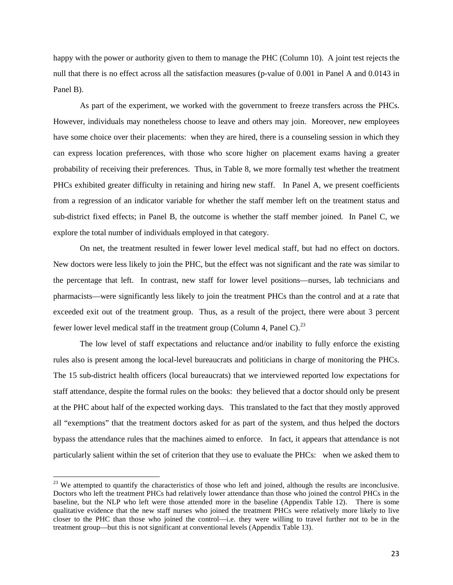happy with the power or authority given to them to manage the PHC (Column 10). A joint test rejects the null that there is no effect across all the satisfaction measures (p-value of 0.001 in Panel A and 0.0143 in Panel B).

As part of the experiment, we worked with the government to freeze transfers across the PHCs. However, individuals may nonetheless choose to leave and others may join. Moreover, new employees have some choice over their placements: when they are hired, there is a counseling session in which they can express location preferences, with those who score higher on placement exams having a greater probability of receiving their preferences. Thus, in Table 8, we more formally test whether the treatment PHCs exhibited greater difficulty in retaining and hiring new staff. In Panel A, we present coefficients from a regression of an indicator variable for whether the staff member left on the treatment status and sub-district fixed effects; in Panel B, the outcome is whether the staff member joined. In Panel C, we explore the total number of individuals employed in that category.

On net, the treatment resulted in fewer lower level medical staff, but had no effect on doctors. New doctors were less likely to join the PHC, but the effect was not significant and the rate was similar to the percentage that left. In contrast, new staff for lower level positions—nurses, lab technicians and pharmacists—were significantly less likely to join the treatment PHCs than the control and at a rate that exceeded exit out of the treatment group. Thus, as a result of the project, there were about 3 percent fewer lower level medical staff in the treatment group (Column 4, Panel C).<sup>[23](#page-22-0)</sup>

The low level of staff expectations and reluctance and/or inability to fully enforce the existing rules also is present among the local-level bureaucrats and politicians in charge of monitoring the PHCs. The 15 sub-district health officers (local bureaucrats) that we interviewed reported low expectations for staff attendance, despite the formal rules on the books: they believed that a doctor should only be present at the PHC about half of the expected working days. This translated to the fact that they mostly approved all "exemptions" that the treatment doctors asked for as part of the system, and thus helped the doctors bypass the attendance rules that the machines aimed to enforce. In fact, it appears that attendance is not particularly salient within the set of criterion that they use to evaluate the PHCs: when we asked them to

<span id="page-22-0"></span><sup>&</sup>lt;sup>23</sup> We attempted to quantify the characteristics of those who left and joined, although the results are inconclusive. Doctors who left the treatment PHCs had relatively lower attendance than those who joined the control PHCs in the baseline, but the NLP who left were those attended more in the baseline (Appendix Table 12). There is some qualitative evidence that the new staff nurses who joined the treatment PHCs were relatively more likely to live closer to the PHC than those who joined the control—i.e. they were willing to travel further not to be in the treatment group—but this is not significant at conventional levels (Appendix Table 13).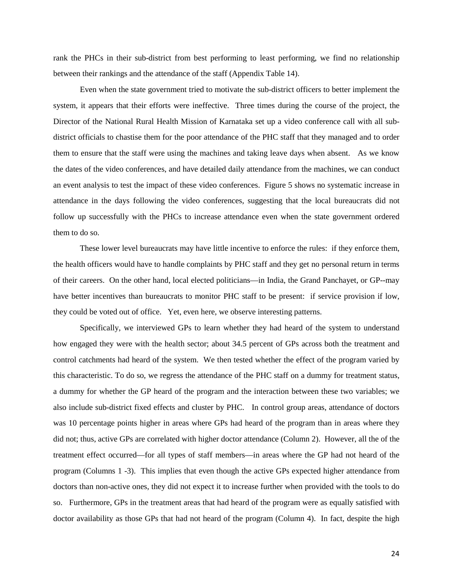rank the PHCs in their sub-district from best performing to least performing, we find no relationship between their rankings and the attendance of the staff (Appendix Table 14).

Even when the state government tried to motivate the sub-district officers to better implement the system, it appears that their efforts were ineffective. Three times during the course of the project, the Director of the National Rural Health Mission of Karnataka set up a video conference call with all subdistrict officials to chastise them for the poor attendance of the PHC staff that they managed and to order them to ensure that the staff were using the machines and taking leave days when absent. As we know the dates of the video conferences, and have detailed daily attendance from the machines, we can conduct an event analysis to test the impact of these video conferences. Figure 5 shows no systematic increase in attendance in the days following the video conferences, suggesting that the local bureaucrats did not follow up successfully with the PHCs to increase attendance even when the state government ordered them to do so.

These lower level bureaucrats may have little incentive to enforce the rules: if they enforce them, the health officers would have to handle complaints by PHC staff and they get no personal return in terms of their careers. On the other hand, local elected politicians—in India, the Grand Panchayet, or GP--may have better incentives than bureaucrats to monitor PHC staff to be present: if service provision if low, they could be voted out of office. Yet, even here, we observe interesting patterns.

Specifically, we interviewed GPs to learn whether they had heard of the system to understand how engaged they were with the health sector; about 34.5 percent of GPs across both the treatment and control catchments had heard of the system. We then tested whether the effect of the program varied by this characteristic. To do so, we regress the attendance of the PHC staff on a dummy for treatment status, a dummy for whether the GP heard of the program and the interaction between these two variables; we also include sub-district fixed effects and cluster by PHC. In control group areas, attendance of doctors was 10 percentage points higher in areas where GPs had heard of the program than in areas where they did not; thus, active GPs are correlated with higher doctor attendance (Column 2). However, all the of the treatment effect occurred—for all types of staff members—in areas where the GP had not heard of the program (Columns 1 -3). This implies that even though the active GPs expected higher attendance from doctors than non-active ones, they did not expect it to increase further when provided with the tools to do so. Furthermore, GPs in the treatment areas that had heard of the program were as equally satisfied with doctor availability as those GPs that had not heard of the program (Column 4). In fact, despite the high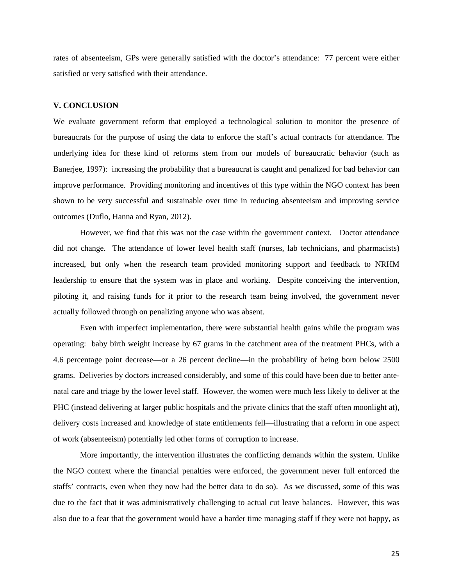rates of absenteeism, GPs were generally satisfied with the doctor's attendance: 77 percent were either satisfied or very satisfied with their attendance.

## **V. CONCLUSION**

We evaluate government reform that employed a technological solution to monitor the presence of bureaucrats for the purpose of using the data to enforce the staff's actual contracts for attendance. The underlying idea for these kind of reforms stem from our models of bureaucratic behavior (such as Banerjee, 1997): increasing the probability that a bureaucrat is caught and penalized for bad behavior can improve performance. Providing monitoring and incentives of this type within the NGO context has been shown to be very successful and sustainable over time in reducing absenteeism and improving service outcomes (Duflo, Hanna and Ryan, 2012).

However, we find that this was not the case within the government context. Doctor attendance did not change. The attendance of lower level health staff (nurses, lab technicians, and pharmacists) increased, but only when the research team provided monitoring support and feedback to NRHM leadership to ensure that the system was in place and working. Despite conceiving the intervention, piloting it, and raising funds for it prior to the research team being involved, the government never actually followed through on penalizing anyone who was absent.

Even with imperfect implementation, there were substantial health gains while the program was operating: baby birth weight increase by 67 grams in the catchment area of the treatment PHCs, with a 4.6 percentage point decrease—or a 26 percent decline—in the probability of being born below 2500 grams. Deliveries by doctors increased considerably, and some of this could have been due to better antenatal care and triage by the lower level staff. However, the women were much less likely to deliver at the PHC (instead delivering at larger public hospitals and the private clinics that the staff often moonlight at), delivery costs increased and knowledge of state entitlements fell—illustrating that a reform in one aspect of work (absenteeism) potentially led other forms of corruption to increase.

More importantly, the intervention illustrates the conflicting demands within the system. Unlike the NGO context where the financial penalties were enforced, the government never full enforced the staffs' contracts, even when they now had the better data to do so). As we discussed, some of this was due to the fact that it was administratively challenging to actual cut leave balances. However, this was also due to a fear that the government would have a harder time managing staff if they were not happy, as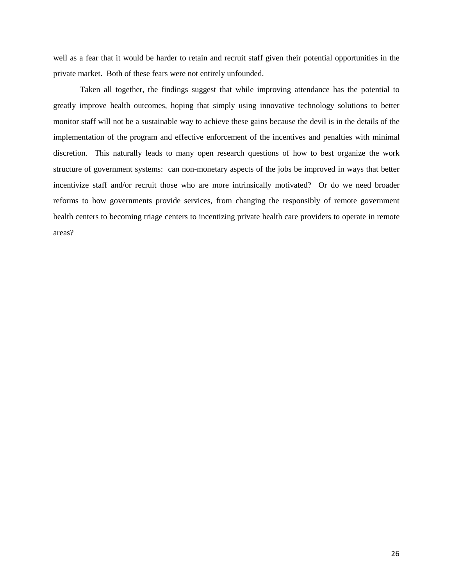well as a fear that it would be harder to retain and recruit staff given their potential opportunities in the private market. Both of these fears were not entirely unfounded.

Taken all together, the findings suggest that while improving attendance has the potential to greatly improve health outcomes, hoping that simply using innovative technology solutions to better monitor staff will not be a sustainable way to achieve these gains because the devil is in the details of the implementation of the program and effective enforcement of the incentives and penalties with minimal discretion. This naturally leads to many open research questions of how to best organize the work structure of government systems: can non-monetary aspects of the jobs be improved in ways that better incentivize staff and/or recruit those who are more intrinsically motivated? Or do we need broader reforms to how governments provide services, from changing the responsibly of remote government health centers to becoming triage centers to incentizing private health care providers to operate in remote areas?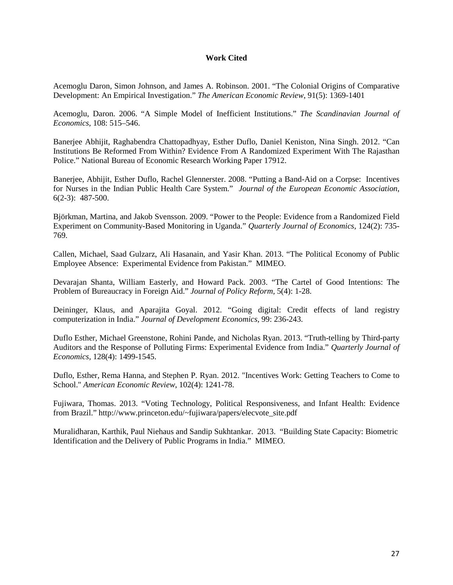## **Work Cited**

Acemoglu Daron, Simon Johnson, and James A. Robinson. 2001. "The Colonial Origins of Comparative Development: An Empirical Investigation." *The American Economic Review*, 91(5): 1369-1401

Acemoglu, Daron. 2006. "A Simple Model of Inefficient Institutions." *The Scandinavian Journal of Economics,* 108: 515–546.

Banerjee Abhijit, Raghabendra Chattopadhyay, Esther Duflo, Daniel Keniston, Nina Singh. 2012. "Can Institutions Be Reformed From Within? Evidence From A Randomized Experiment With The Rajasthan Police." National Bureau of Economic Research Working Paper 17912.

Baneriee, Abhijit, Esther Duflo, Rachel Glennerster. 2008. "Putting a Band-Aid on a Corpse: Incentives for Nurses in the Indian Public Health Care System." *Journal of the European Economic Association*, 6(2-3): 487-500.

Björkman, Martina, and Jakob Svensson. 2009. "Power to the People: Evidence from a Randomized Field Experiment on Community-Based Monitoring in Uganda." *Quarterly Journal of Economics,* 124(2): 735- 769.

Callen, Michael, Saad Gulzarz, Ali Hasanain, and Yasir Khan. 2013. "The Political Economy of Public Employee Absence: Experimental Evidence from Pakistan." MIMEO.

Devarajan Shanta, William Easterly, and Howard Pack. 2003. ["The Cartel of Good Intentions: The](http://williameasterly.files.wordpress.com/2010/08/36_easterly_cartelofgoodintentions_prp.pdf)  [Problem of Bureaucracy in Foreign Aid.](http://williameasterly.files.wordpress.com/2010/08/36_easterly_cartelofgoodintentions_prp.pdf)" *Journal of Policy Reform,* 5(4): 1-28.

Deininger, Klaus, and Aparajita Goyal. 2012. "Going digital: Credit effects of land registry computerization in India." *Journal of Development Economics,* 99: 236-243.

Duflo Esther, Michael Greenstone, Rohini Pande, and Nicholas Ryan. 2013. "Truth-telling by Third-party Auditors and the Response of Polluting Firms: Experimental Evidence from India." *Quarterly Journal of Economics,* 128(4): 1499-1545.

Duflo, Esther, Rema Hanna, and Stephen P. Ryan. 2012. "Incentives Work: Getting Teachers to Come to School." *American Economic Review*, 102(4): 1241-78.

Fujiwara, Thomas. 2013. "Voting Technology, Political Responsiveness, and Infant Health: Evidence from Brazil." [http://www.princeton.edu/~fujiwara/papers/elecvote\\_site.pdf](http://www.princeton.edu/~fujiwara/papers/elecvote_site.pdf)

Muralidharan, Karthik, Paul Niehaus and Sandip Sukhtankar. 2013. "Building State Capacity: Biometric Identification and the Delivery of Public Programs in India." MIMEO.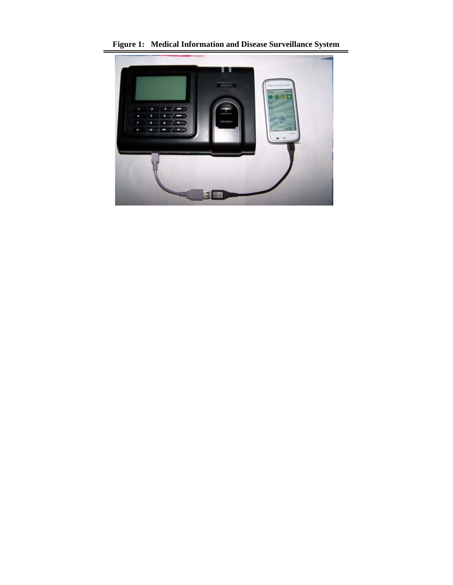

**Figure 1: Medical Information and Disease Surveillance System**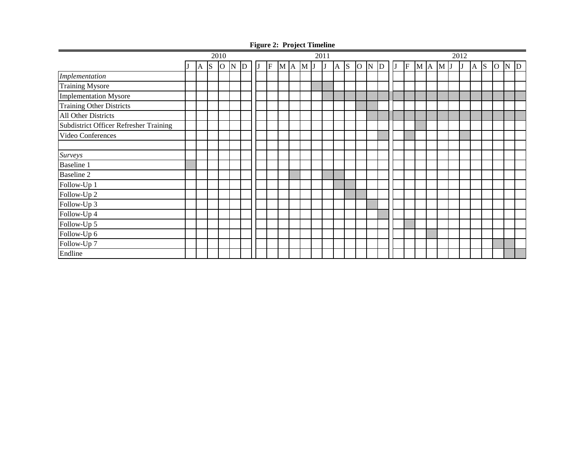|                                               | 2010         |                 |                |             |              | 2011 |   |  |       |  |              |    | 2012 |              |                     |  |    |    |         |  |  |  |   |            |             |  |  |
|-----------------------------------------------|--------------|-----------------|----------------|-------------|--------------|------|---|--|-------|--|--------------|----|------|--------------|---------------------|--|----|----|---------|--|--|--|---|------------|-------------|--|--|
|                                               | $\mathbf{A}$ | $\vert S \vert$ | $\overline{O}$ | $\mathbf N$ | $\mathbf{D}$ | IJ   | F |  | M A M |  | $\mathbf{U}$ | IJ | IA.  | <sub>S</sub> | $O \big  N \big  D$ |  | IJ | lF | M A M J |  |  |  | J | $A \mid S$ | $O \ N$ $D$ |  |  |
| Implementation                                |              |                 |                |             |              |      |   |  |       |  |              |    |      |              |                     |  |    |    |         |  |  |  |   |            |             |  |  |
| <b>Training Mysore</b>                        |              |                 |                |             |              |      |   |  |       |  |              |    |      |              |                     |  |    |    |         |  |  |  |   |            |             |  |  |
| <b>Implementation Mysore</b>                  |              |                 |                |             |              |      |   |  |       |  |              |    |      |              |                     |  |    |    |         |  |  |  |   |            |             |  |  |
| <b>Training Other Districts</b>               |              |                 |                |             |              |      |   |  |       |  |              |    |      |              |                     |  |    |    |         |  |  |  |   |            |             |  |  |
| All Other Districts                           |              |                 |                |             |              |      |   |  |       |  |              |    |      |              |                     |  |    |    |         |  |  |  |   |            |             |  |  |
| <b>Subdistrict Officer Refresher Training</b> |              |                 |                |             |              |      |   |  |       |  |              |    |      |              |                     |  |    |    |         |  |  |  |   |            |             |  |  |
| Video Conferences                             |              |                 |                |             |              |      |   |  |       |  |              |    |      |              |                     |  |    |    |         |  |  |  |   |            |             |  |  |
|                                               |              |                 |                |             |              |      |   |  |       |  |              |    |      |              |                     |  |    |    |         |  |  |  |   |            |             |  |  |
| Surveys                                       |              |                 |                |             |              |      |   |  |       |  |              |    |      |              |                     |  |    |    |         |  |  |  |   |            |             |  |  |
| <b>Baseline 1</b>                             |              |                 |                |             |              |      |   |  |       |  |              |    |      |              |                     |  |    |    |         |  |  |  |   |            |             |  |  |
| <b>Baseline 2</b>                             |              |                 |                |             |              |      |   |  |       |  |              |    |      |              |                     |  |    |    |         |  |  |  |   |            |             |  |  |
| Follow-Up 1                                   |              |                 |                |             |              |      |   |  |       |  |              |    |      |              |                     |  |    |    |         |  |  |  |   |            |             |  |  |
| Follow-Up 2                                   |              |                 |                |             |              |      |   |  |       |  |              |    |      |              |                     |  |    |    |         |  |  |  |   |            |             |  |  |
| Follow-Up 3                                   |              |                 |                |             |              |      |   |  |       |  |              |    |      |              |                     |  |    |    |         |  |  |  |   |            |             |  |  |
| Follow-Up 4                                   |              |                 |                |             |              |      |   |  |       |  |              |    |      |              |                     |  |    |    |         |  |  |  |   |            |             |  |  |
| Follow-Up 5                                   |              |                 |                |             |              |      |   |  |       |  |              |    |      |              |                     |  |    |    |         |  |  |  |   |            |             |  |  |
| Follow-Up 6                                   |              |                 |                |             |              |      |   |  |       |  |              |    |      |              |                     |  |    |    |         |  |  |  |   |            |             |  |  |
| Follow-Up 7                                   |              |                 |                |             |              |      |   |  |       |  |              |    |      |              |                     |  |    |    |         |  |  |  |   |            |             |  |  |
| Endline                                       |              |                 |                |             |              |      |   |  |       |  |              |    |      |              |                     |  |    |    |         |  |  |  |   |            |             |  |  |

**Figure 2: Project Timeline**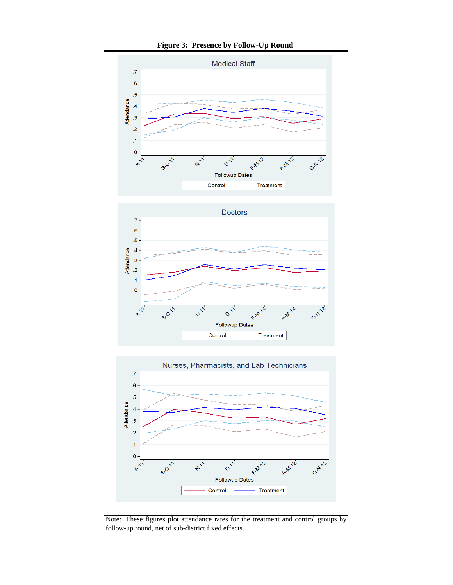**Figure 3: Presence by Follow-Up Round** 







Note: These figures plot attendance rates for the treatment and control groups by follow-up round, net of sub-district fixed effects.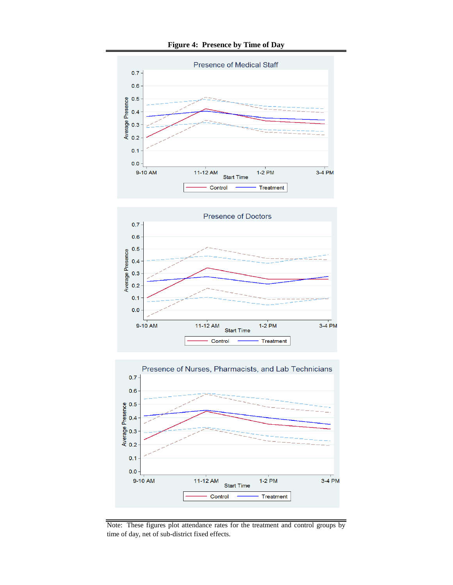

**Figure 4: Presence by Time of Day**





Note: These figures plot attendance rates for the treatment and control groups by time of day, net of sub-district fixed effects.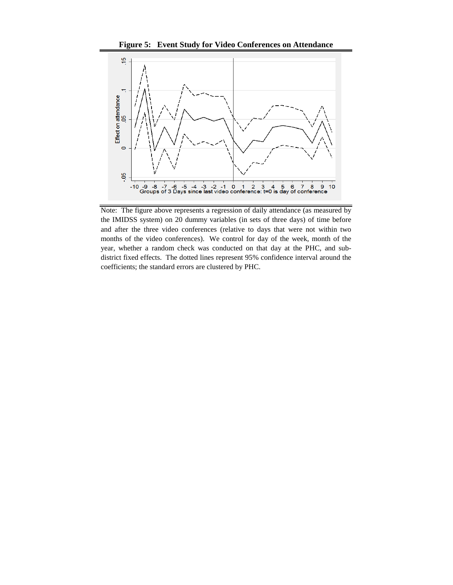**Figure 5: Event Study for Video Conferences on Attendance**



Note: The figure above represents a regression of daily attendance (as measured by the IMIDSS system) on 20 dummy variables (in sets of three days) of time before and after the three video conferences (relative to days that were not within two months of the video conferences). We control for day of the week, month of the year, whether a random check was conducted on that day at the PHC, and subdistrict fixed effects. The dotted lines represent 95% confidence interval around the coefficients; the standard errors are clustered by PHC.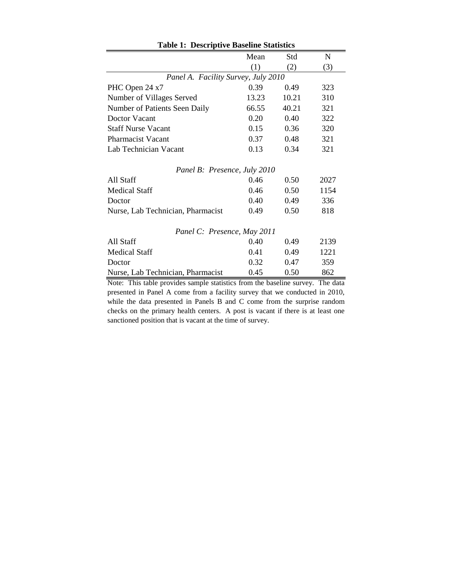| <b>Table 1: Descriptive Baseline Statistics</b> |       |       |      |  |  |  |  |
|-------------------------------------------------|-------|-------|------|--|--|--|--|
|                                                 | Mean  | Std   | N    |  |  |  |  |
|                                                 | (1)   | (2)   | (3)  |  |  |  |  |
| Panel A. Facility Survey, July 2010             |       |       |      |  |  |  |  |
| PHC Open 24 x7                                  | 0.39  | 0.49  | 323  |  |  |  |  |
| Number of Villages Served                       | 13.23 | 10.21 | 310  |  |  |  |  |
| Number of Patients Seen Daily                   | 66.55 | 40.21 | 321  |  |  |  |  |
| Doctor Vacant                                   | 0.20  | 0.40  | 322  |  |  |  |  |
| <b>Staff Nurse Vacant</b>                       | 0.15  | 0.36  | 320  |  |  |  |  |
| <b>Pharmacist Vacant</b>                        | 0.37  | 0.48  | 321  |  |  |  |  |
| Lab Technician Vacant                           | 0.13  | 0.34  | 321  |  |  |  |  |
| Panel B: Presence, July 2010                    |       |       |      |  |  |  |  |
| All Staff                                       | 0.46  | 0.50  | 2027 |  |  |  |  |
| <b>Medical Staff</b>                            | 0.46  | 0.50  | 1154 |  |  |  |  |
| Doctor                                          | 0.40  | 0.49  | 336  |  |  |  |  |
| Nurse, Lab Technician, Pharmacist               | 0.49  | 0.50  | 818  |  |  |  |  |
| Panel C: Presence, May 2011                     |       |       |      |  |  |  |  |
| All Staff                                       | 0.40  | 0.49  | 2139 |  |  |  |  |
| <b>Medical Staff</b>                            | 0.41  | 0.49  | 1221 |  |  |  |  |
| Doctor                                          | 0.32  | 0.47  | 359  |  |  |  |  |
| Nurse, Lab Technician, Pharmacist               | 0.45  | 0.50  | 862  |  |  |  |  |

Note: This table provides sample statistics from the baseline survey. The data presented in Panel A come from a facility survey that we conducted in 2010, while the data presented in Panels B and C come from the surprise random checks on the primary health centers. A post is vacant if there is at least one sanctioned position that is vacant at the time of survey.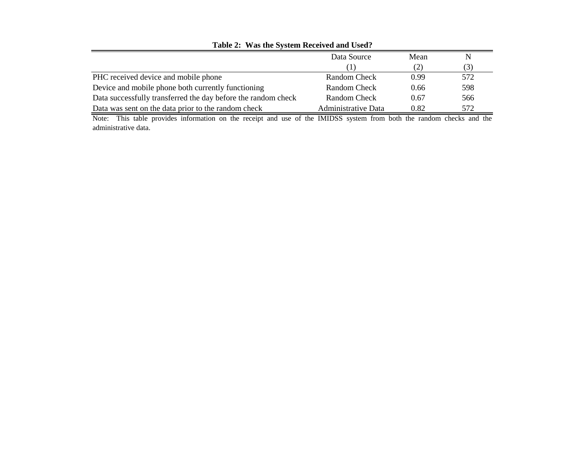| $14000$ $\mu$ , $140$ $\mu$ , $0.1$ $\sigma$ $0.0001$ $\sigma$ $0.0001$ |                            |      |     |  |  |  |  |
|-------------------------------------------------------------------------|----------------------------|------|-----|--|--|--|--|
|                                                                         | Data Source                | Mean |     |  |  |  |  |
|                                                                         |                            | (2)  | (3) |  |  |  |  |
| PHC received device and mobile phone                                    | Random Check               | 0.99 | 572 |  |  |  |  |
| Device and mobile phone both currently functioning                      | Random Check               | 0.66 | 598 |  |  |  |  |
| Data successfully transferred the day before the random check           | Random Check               | 0.67 | 566 |  |  |  |  |
| Data was sent on the data prior to the random check                     | <b>Administrative Data</b> | 0.82 | 572 |  |  |  |  |

## **Table 2: Was the System Received and Used?**

Note: This table provides information on the receipt and use of the IMIDSS system from both the random checks and the administrative data.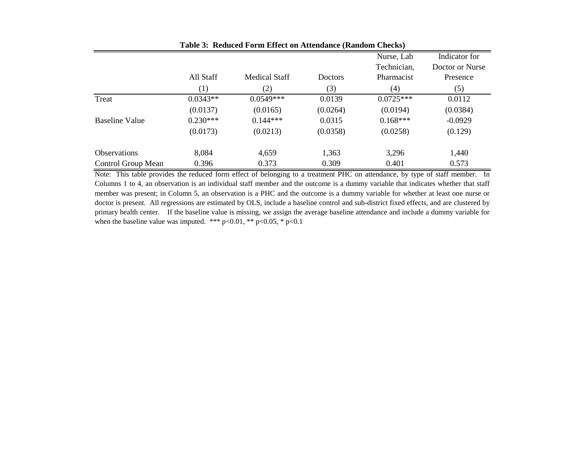|                     |            |                      |                | Nurse, Lab  | Indicator for   |
|---------------------|------------|----------------------|----------------|-------------|-----------------|
|                     |            |                      |                | Technician, | Doctor or Nurse |
|                     | All Staff  | <b>Medical Staff</b> | <b>Doctors</b> | Pharmacist  | Presence        |
|                     | (1)        | (2)                  | (3)            | (4)         | (5)             |
| Treat               | $0.0343**$ | $0.0549***$          | 0.0139         | $0.0725***$ | 0.0112          |
|                     | (0.0137)   | (0.0165)             | (0.0264)       | (0.0194)    | (0.0384)        |
| Baseline Value      | $0.230***$ | $0.144***$           | 0.0315         | $0.168***$  | $-0.0929$       |
|                     | (0.0173)   | (0.0213)             | (0.0358)       | (0.0258)    | (0.129)         |
| <b>Observations</b> | 8,084      | 4,659                | 1,363          | 3,296       | 1,440           |
| Control Group Mean  | 0.396      | 0.373                | 0.309          | 0.401       | 0.573           |

**Table 3: Reduced Form Effect on Attendance (Random Checks)**

Note: This table provides the reduced form effect of belonging to a treatment PHC on attendance, by type of staff member. In Columns 1 to 4, an observation is an individual staff member and the outcome is a dummy variable that indicates whether that staff member was present; in Column 5, an observation is a PHC and the outcome is a dummy variable for whether at least one nurse or doctor is present. All regressions are estimated by OLS, include a baseline control and sub-district fixed effects, and are clustered by primary health center. If the baseline value is missing, we assign the average baseline attendance and include a dummy variable for when the baseline value was imputed. \*\*\*  $p<0.01$ , \*\*  $p<0.05$ , \*  $p<0.1$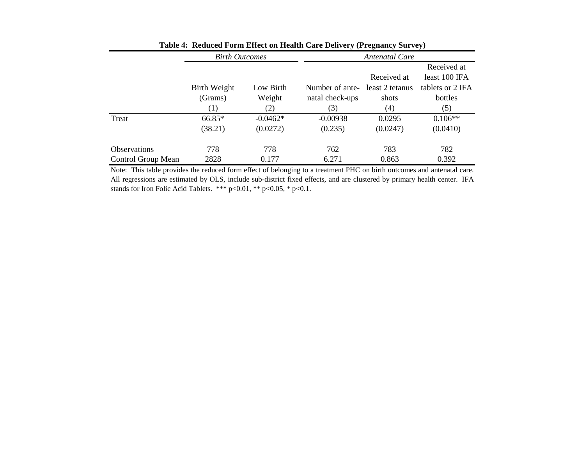|                     | <b>Birth Outcomes</b> |            | <b>Antenatal Care</b> |                 |                  |  |  |  |
|---------------------|-----------------------|------------|-----------------------|-----------------|------------------|--|--|--|
|                     |                       |            |                       |                 | Received at      |  |  |  |
|                     |                       |            |                       | Received at     | least 100 IFA    |  |  |  |
|                     | Birth Weight          | Low Birth  | Number of ante-       | least 2 tetanus | tablets or 2 IFA |  |  |  |
|                     | (Grams)               | Weight     | natal check-ups       | shots           | bottles          |  |  |  |
|                     | (1)                   | (2)        | (3)                   | (4)             | (5)              |  |  |  |
| Treat               | $66.85*$              | $-0.0462*$ | $-0.00938$            | 0.0295          | $0.106**$        |  |  |  |
|                     | (38.21)               | (0.0272)   | (0.235)               | (0.0247)        | (0.0410)         |  |  |  |
| <b>Observations</b> | 778                   | 778        | 762                   | 783             | 782              |  |  |  |
| Control Group Mean  | 2828                  | 0.177      | 6.271                 | 0.863           | 0.392            |  |  |  |

**Table 4: Reduced Form Effect on Health Care Delivery (Pregnancy Survey)**

Note: This table provides the reduced form effect of belonging to a treatment PHC on birth outcomes and antenatal care. All regressions are estimated by OLS, include sub-district fixed effects, and are clustered by primary health center. IFA stands for Iron Folic Acid Tablets. \*\*\* p<0.01, \*\* p<0.05, \* p<0.1.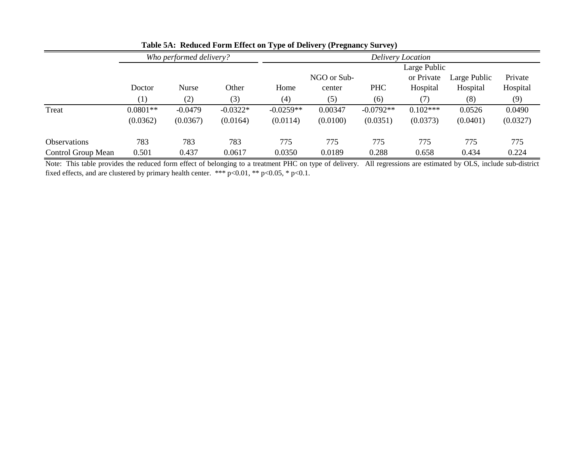|                     |            | Who performed delivery? |            | Delivery Location |             |             |              |              |          |  |  |  |
|---------------------|------------|-------------------------|------------|-------------------|-------------|-------------|--------------|--------------|----------|--|--|--|
|                     |            |                         |            |                   |             |             | Large Public |              |          |  |  |  |
|                     |            |                         |            |                   | NGO or Sub- |             | or Private   | Large Public | Private  |  |  |  |
|                     | Doctor     | <b>Nurse</b>            | Other      | Home              | center      | <b>PHC</b>  | Hospital     | Hospital     | Hospital |  |  |  |
|                     | (1)        | (2)                     | (3)        | (4)               | (5)         | (6)         | (7)          | (8)          | (9)      |  |  |  |
| Treat               | $0.0801**$ | $-0.0479$               | $-0.0322*$ | $-0.0259**$       | 0.00347     | $-0.0792**$ | $0.102***$   | 0.0526       | 0.0490   |  |  |  |
|                     | (0.0362)   | (0.0367)                | (0.0164)   | (0.0114)          | (0.0100)    | (0.0351)    | (0.0373)     | (0.0401)     | (0.0327) |  |  |  |
| <b>Observations</b> | 783        | 783                     | 783        | 775               | 775         | 775         | 775          | 775          | 775      |  |  |  |
| Control Group Mean  | 0.501      | 0.437                   | 0.0617     | 0.0350            | 0.0189      | 0.288       | 0.658        | 0.434        | 0.224    |  |  |  |

**Table 5A: Reduced Form Effect on Type of Delivery (Pregnancy Survey)**

Note: This table provides the reduced form effect of belonging to a treatment PHC on type of delivery. All regressions are estimated by OLS, include sub-district fixed effects, and are clustered by primary health center. \*\*\*  $p<0.01$ , \*\*  $p<0.05$ , \*  $p<0.1$ .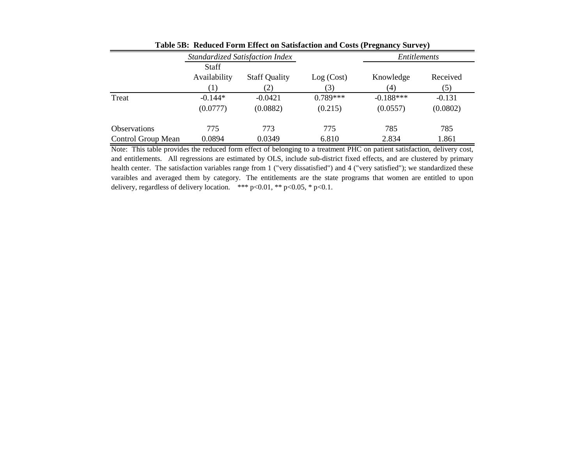|                     |                              | Standardized Satisfaction Index |            | Entitlements |          |
|---------------------|------------------------------|---------------------------------|------------|--------------|----------|
|                     | <b>Staff</b><br>Availability | <b>Staff Quality</b>            | Log (Cost) | Knowledge    | Received |
|                     |                              | (2)                             | (3)        | (4)          | (5)      |
| Treat               | $-0.144*$                    | $-0.0421$                       | $0.789***$ | $-0.188***$  | $-0.131$ |
|                     | (0.0777)                     | (0.0882)                        | (0.215)    | (0.0557)     | (0.0802) |
| <b>Observations</b> | 775                          | 773                             | 775        | 785          | 785      |
| Control Group Mean  | 0.0894                       | 0.0349                          | 6.810      | 2.834        | 1.861    |

**Table 5B: Reduced Form Effect on Satisfaction and Costs (Pregnancy Survey)**

Note: This table provides the reduced form effect of belonging to a treatment PHC on patient satisfaction, delivery cost, and entitlements. All regressions are estimated by OLS, include sub-district fixed effects, and are clustered by primary health center. The satisfaction variables range from 1 ("very dissatisfied") and 4 ("very satisfied"); we standardized these varaibles and averaged them by category. The entitlements are the state programs that women are entitled to upon delivery, regardless of delivery location. \*\*\* p<0.01, \*\* p<0.05, \* p<0.1.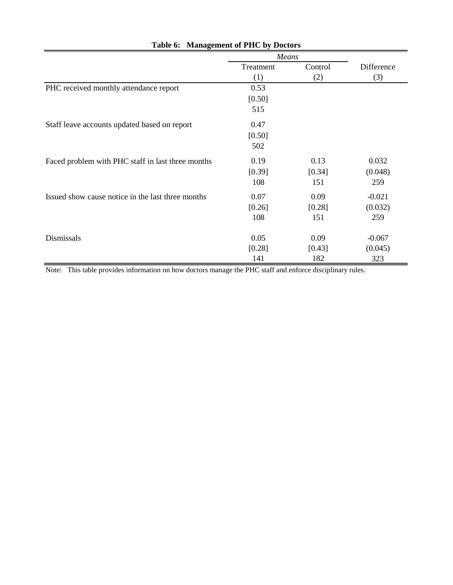|                                                   | Means     |         |            |
|---------------------------------------------------|-----------|---------|------------|
|                                                   | Treatment | Control | Difference |
|                                                   | (1)       | (2)     | (3)        |
| PHC received monthly attendance report            | 0.53      |         |            |
|                                                   | [0.50]    |         |            |
|                                                   | 515       |         |            |
| Staff leave accounts updated based on report      | 0.47      |         |            |
|                                                   | [0.50]    |         |            |
|                                                   | 502       |         |            |
| Faced problem with PHC staff in last three months | 0.19      | 0.13    | 0.032      |
|                                                   | [0.39]    | [0.34]  | (0.048)    |
|                                                   | 108       | 151     | 259        |
| Issued show cause notice in the last three months | 0.07      | 0.09    | $-0.021$   |
|                                                   | [0.26]    | [0.28]  | (0.032)    |
|                                                   | 108       | 151     | 259        |
| Dismissals                                        | 0.05      | 0.09    | $-0.067$   |
|                                                   | [0.28]    | [0.43]  | (0.045)    |
|                                                   | 141       | 182     | 323        |

# **Table 6: Management of PHC by Doctors**

Note: This table provides information on how doctors manage the PHC staff and enforce disciplinary rules.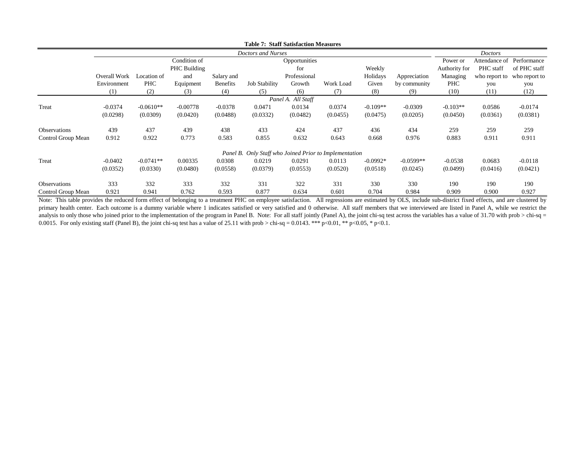|                    |              |             |              |                 | <b>Table 7: Staff Satisfaction Measures</b>            |                    |           |            |              |               |                  |                           |
|--------------------|--------------|-------------|--------------|-----------------|--------------------------------------------------------|--------------------|-----------|------------|--------------|---------------|------------------|---------------------------|
|                    |              |             |              |                 | Doctors and Nurses                                     |                    |           |            |              |               | <b>Doctors</b>   |                           |
|                    |              |             | Condition of |                 |                                                        | Opportunities      |           |            |              | Power or      |                  | Attendance of Performance |
|                    |              |             | PHC Building |                 |                                                        | for                |           | Weekly     |              | Authority for | <b>PHC</b> staff | of PHC staff              |
|                    | Overall Work | Location of | and          | Salary and      |                                                        | Professional       |           | Holidays   | Appreciation | Managing      | who report to    | who report to             |
|                    | Environment  | <b>PHC</b>  | Equipment    | <b>Benefits</b> | <b>Job Stability</b>                                   | Growth             | Work Load | Given      | by community | PHC           | you              | you                       |
|                    | (1)          | (2)         | (3)          | (4)             | (5)                                                    | (6)                | (7)       | (8)        | (9)          | (10)          | (11)             | (12)                      |
|                    |              |             |              |                 |                                                        | Panel A. All Staff |           |            |              |               |                  |                           |
| Treat              | $-0.0374$    | $-0.0610**$ | $-0.00778$   | $-0.0378$       | 0.0471                                                 | 0.0134             | 0.0374    | $-0.109**$ | $-0.0309$    | $-0.103**$    | 0.0586           | $-0.0174$                 |
|                    | (0.0298)     | (0.0309)    | (0.0420)     | (0.0488)        | (0.0332)                                               | (0.0482)           | (0.0455)  | (0.0475)   | (0.0205)     | (0.0450)      | (0.0361)         | (0.0381)                  |
| Observations       | 439          | 437         | 439          | 438             | 433                                                    | 424                | 437       | 436        | 434          | 259           | 259              | 259                       |
| Control Group Mean | 0.912        | 0.922       | 0.773        | 0.583           | 0.855                                                  | 0.632              | 0.643     | 0.668      | 0.976        | 0.883         | 0.911            | 0.911                     |
|                    |              |             |              |                 | Panel B. Only Staff who Joined Prior to Implementation |                    |           |            |              |               |                  |                           |
| Treat              | $-0.0402$    | $-0.0741**$ | 0.00335      | 0.0308          | 0.0219                                                 | 0.0291             | 0.0113    | $-0.0992*$ | $-0.0599**$  | $-0.0538$     | 0.0683           | $-0.0118$                 |
|                    | (0.0352)     | (0.0330)    | (0.0480)     | (0.0558)        | (0.0379)                                               | (0.0553)           | (0.0520)  | (0.0518)   | (0.0245)     | (0.0499)      | (0.0416)         | (0.0421)                  |
| Observations       | 333          | 332         | 333          | 332             | 331                                                    | 322                | 331       | 330        | 330          | 190           | 190              | 190                       |
| Control Group Mean | 0.921        | 0.941       | 0.762        | 0.593           | 0.877                                                  | 0.634              | 0.601     | 0.704      | 0.984        | 0.909         | 0.900            | 0.927                     |

Note: This table provides the reduced form effect of belonging to a treatment PHC on employee satisfaction. All regressions are estimated by OLS, include sub-district fixed effects, and are clustered by primary health center. Each outcome is a dummy variable where 1 indicates satisfied or very satisfied and 0 otherwise. All staff members that we interviewed are listed in Panel A, while we restrict the analysis to only those who joined prior to the implementation of the program in Panel B. Note: For all staff jointly (Panel A), the joint chi-sq test across the variables has a value of 31.70 with prob > chi-sq = 0.0015. For only existing staff (Panel B), the joint chi-sq test has a value of 25.11 with prob > chi-sq = 0.0143. \*\*\* p<0.01, \*\* p<0.05, \* p<0.1.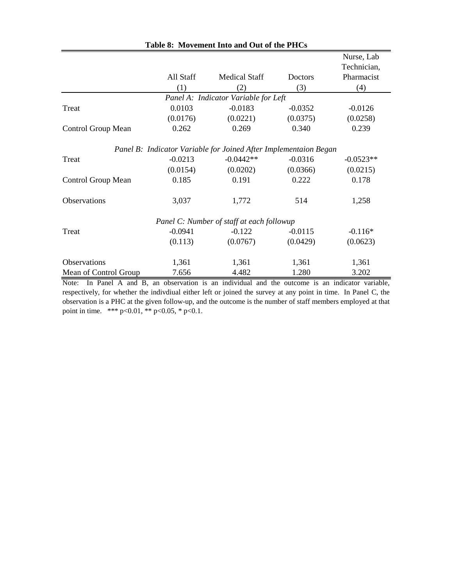|                           |           |                                                                  |           | Nurse, Lab  |
|---------------------------|-----------|------------------------------------------------------------------|-----------|-------------|
|                           |           |                                                                  |           | Technician, |
|                           | All Staff | <b>Medical Staff</b>                                             | Doctors   | Pharmacist  |
|                           | (1)       | (2)                                                              | (3)       | (4)         |
|                           |           | Panel A: Indicator Variable for Left                             |           |             |
| Treat                     | 0.0103    | $-0.0183$                                                        | $-0.0352$ | $-0.0126$   |
|                           | (0.0176)  | (0.0221)                                                         | (0.0375)  | (0.0258)    |
| <b>Control Group Mean</b> | 0.262     | 0.269                                                            | 0.340     | 0.239       |
|                           |           | Panel B: Indicator Variable for Joined After Implementaion Began |           |             |
| Treat                     | $-0.0213$ | $-0.0442**$                                                      | $-0.0316$ | $-0.0523**$ |
|                           | (0.0154)  | (0.0202)                                                         | (0.0366)  | (0.0215)    |
| Control Group Mean        | 0.185     | 0.191                                                            | 0.222     | 0.178       |
| Observations              | 3,037     | 1,772                                                            | 514       | 1,258       |
|                           |           | Panel C: Number of staff at each followup                        |           |             |
| Treat                     | $-0.0941$ | $-0.122$                                                         | $-0.0115$ | $-0.116*$   |
|                           | (0.113)   | (0.0767)                                                         | (0.0429)  | (0.0623)    |
| Observations              | 1,361     | 1,361                                                            | 1,361     | 1,361       |
| Mean of Control Group     | 7.656     | 4.482                                                            | 1.280     | 3.202       |

Note: In Panel A and B, an observation is an individual and the outcome is an indicator variable, respectively, for whether the indivdiual either left or joined the survey at any point in time. In Panel C, the observation is a PHC at the given follow-up, and the outcome is the number of staff members employed at that point in time. \*\*\* p<0.01, \*\* p<0.05, \* p<0.1.

# **Table 8: Movement Into and Out of the PHCs**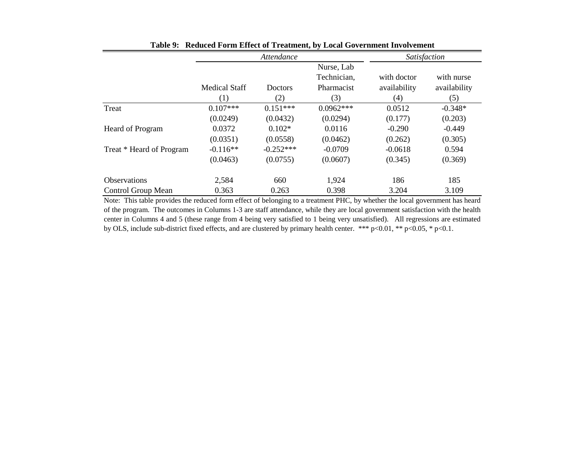|                          |                      | Attendance  | Satisfaction |              |              |
|--------------------------|----------------------|-------------|--------------|--------------|--------------|
|                          |                      |             | Nurse, Lab   |              |              |
|                          |                      |             | Technician,  | with doctor  | with nurse   |
|                          | <b>Medical Staff</b> | Doctors     | Pharmacist   | availability | availability |
|                          | $\left(1\right)$     | (2)         | (3)          | (4)          | (5)          |
| Treat                    | $0.107***$           | $0.151***$  | $0.0962***$  | 0.0512       | $-0.348*$    |
|                          | (0.0249)             | (0.0432)    | (0.0294)     | (0.177)      | (0.203)      |
| Heard of Program         | 0.0372               | $0.102*$    | 0.0116       | $-0.290$     | $-0.449$     |
|                          | (0.0351)             | (0.0558)    | (0.0462)     | (0.262)      | (0.305)      |
| Treat * Heard of Program | $-0.116**$           | $-0.252***$ | $-0.0709$    | $-0.0618$    | 0.594        |
|                          | (0.0463)             | (0.0755)    | (0.0607)     | (0.345)      | (0.369)      |
| <b>Observations</b>      | 2,584                | 660         | 1,924        | 186          | 185          |
| Control Group Mean       | 0.363                | 0.263       | 0.398        | 3.204        | 3.109        |

**Table 9: Reduced Form Effect of Treatment, by Local Government Involvement**

Note: This table provides the reduced form effect of belonging to a treatment PHC, by whether the local government has heard of the program. The outcomes in Columns 1-3 are staff attendance, while they are local government satisfaction with the health center in Columns 4 and 5 (these range from 4 being very satisfied to 1 being very unsatisfied). All regressions are estimated by OLS, include sub-district fixed effects, and are clustered by primary health center. \*\*\* p<0.01, \*\* p<0.05, \* p<0.1.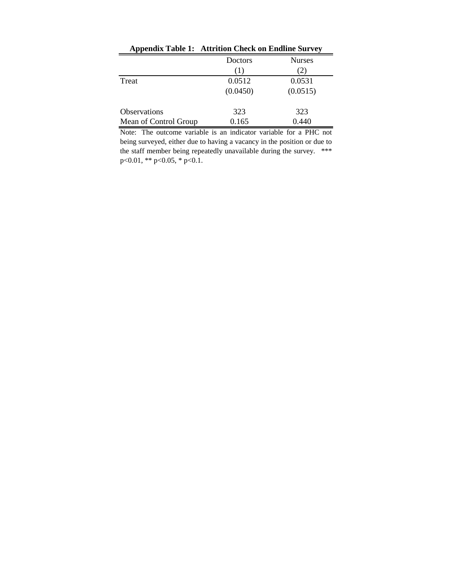|                       | Appendix Table 1: Attrition Check on Endline Survey |               |  |  |  |  |
|-----------------------|-----------------------------------------------------|---------------|--|--|--|--|
|                       | Doctors                                             | <b>Nurses</b> |  |  |  |  |
|                       | (1)                                                 | 2)            |  |  |  |  |
| Treat                 | 0.0512                                              | 0.0531        |  |  |  |  |
|                       | (0.0450)                                            | (0.0515)      |  |  |  |  |
| Observations          | 323                                                 | 323           |  |  |  |  |
| Mean of Control Group | 0.165                                               | 0.440         |  |  |  |  |

Note: The outcome variable is an indicator variable for a PHC not being surveyed, either due to having a vacancy in the position or due to the staff member being repeatedly unavailable during the survey. \*\*\* p<0.01, \*\* p<0.05, \* p<0.1.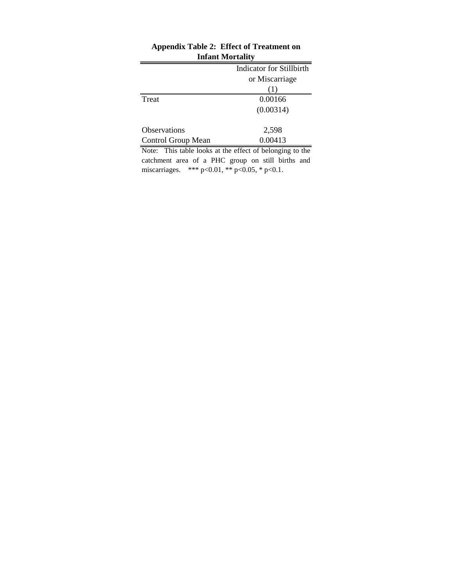| $\frac{1}{2}$       |                          |
|---------------------|--------------------------|
|                     | Indicator for Stillbirth |
|                     | or Miscarriage           |
|                     | (1)                      |
| Treat               | 0.00166                  |
|                     | (0.00314)                |
|                     |                          |
| <b>Observations</b> | 2,598                    |
| Control Group Mean  | 0.00413                  |

# **Appendix Table 2: Effect of Treatment on Infant Mortality**

Note: This table looks at the effect of belonging to the catchment area of a PHC group on still births and miscarriages. \*\*\* p<0.01, \*\* p<0.05, \* p<0.1.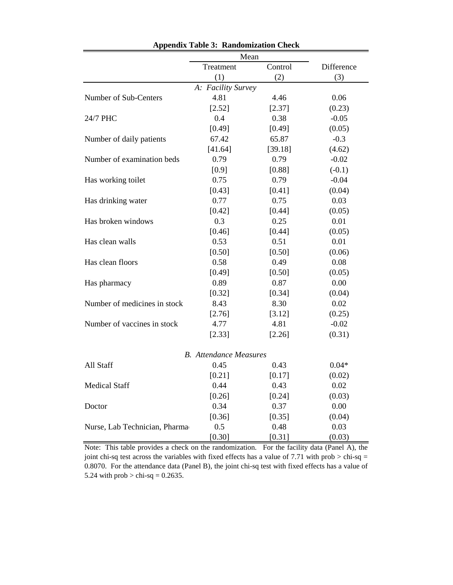|                               | Mean                          |         |            |
|-------------------------------|-------------------------------|---------|------------|
|                               | Treatment                     | Control | Difference |
|                               | (1)                           | (2)     | (3)        |
|                               | A: Facility Survey            |         |            |
| Number of Sub-Centers         | 4.81                          | 4.46    | 0.06       |
|                               | [2.52]                        | [2.37]  | (0.23)     |
| 24/7 PHC                      | 0.4                           | 0.38    | $-0.05$    |
|                               | [0.49]                        | [0.49]  | (0.05)     |
| Number of daily patients      | 67.42                         | 65.87   | $-0.3$     |
|                               | [41.64]                       | [39.18] | (4.62)     |
| Number of examination beds    | 0.79                          | 0.79    | $-0.02$    |
|                               | $[0.9]$                       | [0.88]  | $(-0.1)$   |
| Has working toilet            | 0.75                          | 0.79    | $-0.04$    |
|                               | [0.43]                        | [0.41]  | (0.04)     |
| Has drinking water            | 0.77                          | 0.75    | 0.03       |
|                               | [0.42]                        | [0.44]  | (0.05)     |
| Has broken windows            | 0.3                           | 0.25    | 0.01       |
|                               | [0.46]                        | [0.44]  | (0.05)     |
| Has clean walls               | 0.53                          | 0.51    | 0.01       |
|                               | [0.50]                        | [0.50]  | (0.06)     |
| Has clean floors              | 0.58                          | 0.49    | 0.08       |
|                               | [0.49]                        | [0.50]  | (0.05)     |
| Has pharmacy                  | 0.89                          | 0.87    | 0.00       |
|                               | [0.32]                        | [0.34]  | (0.04)     |
| Number of medicines in stock  | 8.43                          | 8.30    | 0.02       |
|                               | [2.76]                        | [3.12]  | (0.25)     |
| Number of vaccines in stock   | 4.77                          | 4.81    | $-0.02$    |
|                               | [2.33]                        | [2.26]  | (0.31)     |
|                               | <b>B.</b> Attendance Measures |         |            |
| All Staff                     | 0.45                          | 0.43    | $0.04*$    |
|                               | [0.21]                        | [0.17]  | (0.02)     |
| <b>Medical Staff</b>          | 0.44                          | 0.43    | 0.02       |
|                               | [0.26]                        | [0.24]  | (0.03)     |
| Doctor                        | 0.34                          | 0.37    | 0.00       |
|                               | [0.36]                        | [0.35]  | (0.04)     |
| Nurse, Lab Technician, Pharma | 0.5                           | 0.48    | 0.03       |
|                               | [0.30]                        | [0.31]  | (0.03)     |

**Appendix Table 3: Randomization Check**

Note: This table provides a check on the randomization. For the facility data (Panel A), the joint chi-sq test across the variables with fixed effects has a value of 7.71 with prob  $>$  chi-sq = 0.8070. For the attendance data (Panel B), the joint chi-sq test with fixed effects has a value of 5.24 with  $prob > chi-sq = 0.2635$ .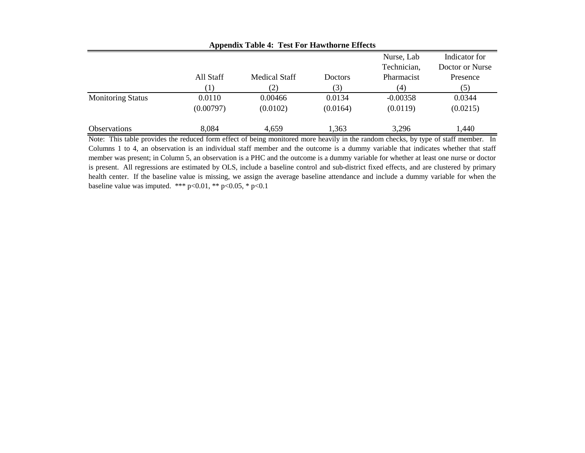|                          |           | $\Delta$ ppenula Tabie 7. Test For Hawthorne Effects |                |             |                 |
|--------------------------|-----------|------------------------------------------------------|----------------|-------------|-----------------|
|                          |           |                                                      |                | Nurse, Lab  | Indicator for   |
|                          |           |                                                      |                | Technician, | Doctor or Nurse |
|                          | All Staff | <b>Medical Staff</b>                                 | <b>Doctors</b> | Pharmacist  | Presence        |
|                          | 1)        | 2)                                                   | (3)            | (4)         | (5)             |
| <b>Monitoring Status</b> | 0.0110    | 0.00466                                              | 0.0134         | $-0.00358$  | 0.0344          |
|                          | (0.00797) | (0.0102)                                             | (0.0164)       | (0.0119)    | (0.0215)        |
| <b>Observations</b>      | 8,084     | 4,659                                                | 1,363          | 3,296       | 1,440           |

**Appendix Table 4: Test For Hawthorne Effects**

Note: This table provides the reduced form effect of being monitored more heavily in the random checks, by type of staff member. In Columns 1 to 4, an observation is an individual staff member and the outcome is a dummy variable that indicates whether that staff member was present; in Column 5, an observation is a PHC and the outcome is a dummy variable for whether at least one nurse or doctor is present. All regressions are estimated by OLS, include a baseline control and sub-district fixed effects, and are clustered by primary health center. If the baseline value is missing, we assign the average baseline attendance and include a dummy variable for when the baseline value was imputed. \*\*\* p<0.01, \*\* p<0.05, \* p<0.1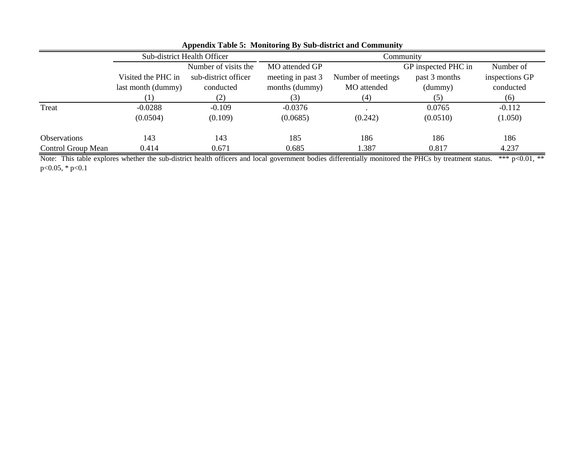|                     |                    | Sub-district Health Officer | Community         |                    |                     |                |  |
|---------------------|--------------------|-----------------------------|-------------------|--------------------|---------------------|----------------|--|
|                     |                    | Number of visits the        | MO attended GP    |                    | GP inspected PHC in | Number of      |  |
|                     | Visited the PHC in | sub-district officer        | meeting in past 3 | Number of meetings | past 3 months       | inspections GP |  |
|                     | last month (dummy) | conducted                   | months (dummy)    | MO attended        | (dummy)             | conducted      |  |
|                     |                    | (2)                         |                   | (4)                | (5)                 | (6)            |  |
| Treat               | $-0.0288$          | $-0.109$                    | $-0.0376$         |                    | 0.0765              | $-0.112$       |  |
|                     | (0.0504)           | (0.109)                     | (0.0685)          | (0.242)            | (0.0510)            | (1.050)        |  |
| <b>Observations</b> | 143                | 143                         | 185               | 186                | 186                 | 186            |  |
| Control Group Mean  | 0.414              | 0.671                       | 0.685             | 1.387              | 0.817               | 4.237          |  |

**Appendix Table 5: Monitoring By Sub-district and Community**

Note: This table explores whether the sub-district health officers and local government bodies differentially monitored the PHCs by treatment status. \*\*\* p<0.01, \*\* p<0.05, \* p<0.1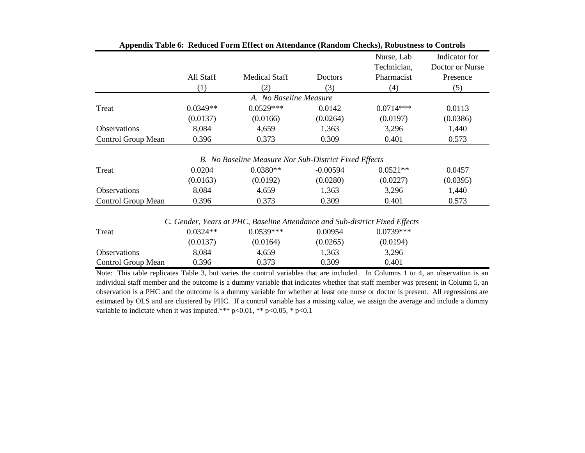|            |                      |            | Nurse, Lab             | Indicator for                                         |
|------------|----------------------|------------|------------------------|-------------------------------------------------------|
|            |                      |            | Technician,            | Doctor or Nurse                                       |
| All Staff  | <b>Medical Staff</b> | Doctors    | Pharmacist             | Presence                                              |
| (1)        | (2)                  | (3)        | (4)                    | (5)                                                   |
|            |                      |            |                        |                                                       |
| $0.0349**$ | $0.0529***$          | 0.0142     | $0.0714***$            | 0.0113                                                |
| (0.0137)   | (0.0166)             | (0.0264)   | (0.0197)               | (0.0386)                                              |
| 8,084      | 4,659                | 1,363      | 3,296                  | 1,440                                                 |
| 0.396      | 0.373                | 0.309      | 0.401                  | 0.573                                                 |
|            |                      |            |                        |                                                       |
| 0.0204     | $0.0380**$           | $-0.00594$ | $0.0521**$             | 0.0457                                                |
| (0.0163)   | (0.0192)             | (0.0280)   | (0.0227)               | (0.0395)                                              |
| 8,084      | 4,659                | 1,363      | 3,296                  | 1,440                                                 |
| 0.396      | 0.373                | 0.309      | 0.401                  | 0.573                                                 |
|            |                      |            | A. No Baseline Measure | B. No Baseline Measure Nor Sub-District Fixed Effects |

|  |  |  |  | Appendix Table 6: Reduced Form Effect on Attendance (Random Checks), Robustness to Controls |  |
|--|--|--|--|---------------------------------------------------------------------------------------------|--|
|--|--|--|--|---------------------------------------------------------------------------------------------|--|

*C. Gender, Years at PHC, Baseline Attendance and Sub-district Fixed Effects*

| Treat               | $0.0324**$ | $0.0539***$ | 0.00954  | $0.0739***$ |  |
|---------------------|------------|-------------|----------|-------------|--|
|                     | (0.0137)   | (0.0164)    | (0.0265) | (0.0194)    |  |
| <b>Observations</b> | 8.084      | 4.659       | 1,363    | 3,296       |  |
| Control Group Mean  | 0.396      | 0.373       | 0.309    | 0.401       |  |

Note: This table replicates Table 3, but varies the control variables that are included. In Columns 1 to 4, an observation is an individual staff member and the outcome is a dummy variable that indicates whether that staff member was present; in Column 5, an observation is a PHC and the outcome is a dummy variable for whether at least one nurse or doctor is present. All regressions are estimated by OLS and are clustered by PHC. If a control variable has a missing value, we assign the average and include a dummy variable to indictate when it was imputed.\*\*\* p<0.01, \*\* p<0.05, \* p<0.1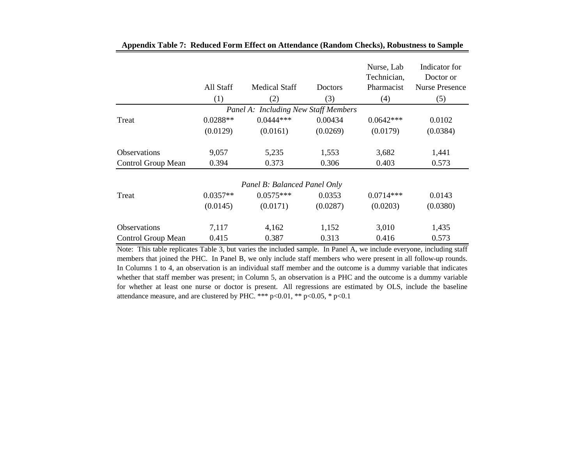|                     | All Staff  | <b>Medical Staff</b>                 | <b>Doctors</b> | Nurse, Lab<br>Technician,<br>Pharmacist | Indicator for<br>Doctor or<br><b>Nurse Presence</b> |
|---------------------|------------|--------------------------------------|----------------|-----------------------------------------|-----------------------------------------------------|
|                     | (1)        | (2)                                  | (3)            | (4)                                     | (5)                                                 |
|                     |            | Panel A: Including New Staff Members |                |                                         |                                                     |
| Treat               | $0.0288**$ | $0.0444***$                          | 0.00434        | $0.0642***$                             | 0.0102                                              |
|                     | (0.0129)   | (0.0161)                             | (0.0269)       | (0.0179)                                | (0.0384)                                            |
|                     |            |                                      |                |                                         |                                                     |
| <b>Observations</b> | 9,057      | 5,235                                | 1,553          | 3,682                                   | 1,441                                               |
| Control Group Mean  | 0.394      | 0.373                                | 0.306          | 0.403                                   | 0.573                                               |
|                     |            | Panel B: Balanced Panel Only         |                |                                         |                                                     |
| Treat               | $0.0357**$ | $0.0575***$                          | 0.0353         | $0.0714***$                             | 0.0143                                              |
|                     | (0.0145)   | (0.0171)                             | (0.0287)       | (0.0203)                                | (0.0380)                                            |
| <b>Observations</b> | 7,117      | 4,162                                | 1,152          | 3,010                                   | 1,435                                               |
| Control Group Mean  | 0.415      | 0.387                                | 0.313          | 0.416                                   | 0.573                                               |

| Appendix Table 7: Reduced Form Effect on Attendance (Random Checks), Robustness to Sample |  |
|-------------------------------------------------------------------------------------------|--|
|-------------------------------------------------------------------------------------------|--|

Note: This table replicates Table 3, but varies the included sample. In Panel A, we include everyone, including staff members that joined the PHC. In Panel B, we only include staff members who were present in all follow-up rounds. In Columns 1 to 4, an observation is an individual staff member and the outcome is a dummy variable that indicates whether that staff member was present; in Column 5, an observation is a PHC and the outcome is a dummy variable for whether at least one nurse or doctor is present. All regressions are estimated by OLS, include the baseline attendance measure, and are clustered by PHC. \*\*\*  $p<0.01$ , \*\*  $p<0.05$ , \*  $p<0.1$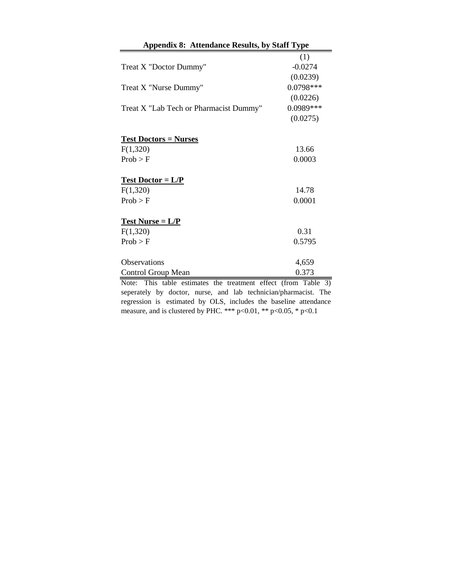| <b>Appendix 8: Attendance Results, by Staff Type</b>        |             |
|-------------------------------------------------------------|-------------|
|                                                             | (1)         |
| Treat X "Doctor Dummy"                                      | $-0.0274$   |
|                                                             | (0.0239)    |
| Treat X "Nurse Dummy"                                       | $0.0798***$ |
|                                                             | (0.0226)    |
| Treat X "Lab Tech or Pharmacist Dummy"                      | 0.0989***   |
|                                                             | (0.0275)    |
| <b>Test Doctors = Nurses</b>                                |             |
| F(1,320)                                                    | 13.66       |
| Prob > F                                                    | 0.0003      |
| $Test Doctor = L/P$                                         |             |
| F(1,320)                                                    | 14.78       |
| Prob > F                                                    | 0.0001      |
| $Test Nurse = L/P$                                          |             |
| F(1,320)                                                    | 0.31        |
| Prob > F                                                    | 0.5795      |
| <b>Observations</b>                                         | 4,659       |
| Control Group Mean                                          | 0.373       |
| Note: This table estimates the treatment effect (from Table | 2)          |

Note: This table estimates the treatment effect (from Table 3) seperately by doctor, nurse, and lab technician/pharmacist. The regression is estimated by OLS, includes the baseline attendance measure, and is clustered by PHC. \*\*\* p<0.01, \*\* p<0.05, \* p<0.1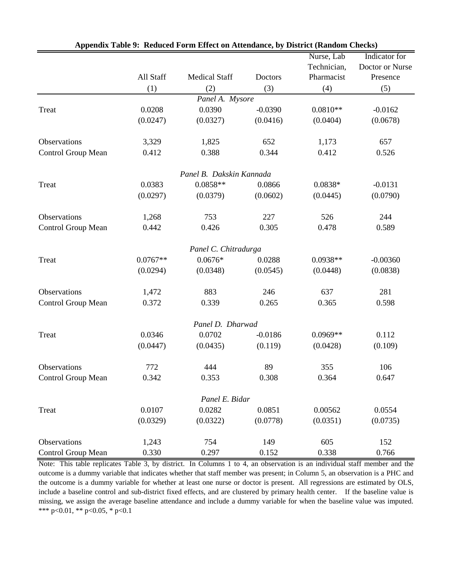|                           |            |                          |           | Nurse, Lab  | Indicator for   |
|---------------------------|------------|--------------------------|-----------|-------------|-----------------|
|                           |            |                          |           | Technician, | Doctor or Nurse |
|                           | All Staff  | <b>Medical Staff</b>     | Doctors   | Pharmacist  | Presence        |
|                           | (1)        | (2)                      | (3)       | (4)         | (5)             |
|                           |            | Panel A. Mysore          |           |             |                 |
| Treat                     | 0.0208     | 0.0390                   | $-0.0390$ | $0.0810**$  | $-0.0162$       |
|                           | (0.0247)   | (0.0327)                 | (0.0416)  | (0.0404)    | (0.0678)        |
| Observations              | 3,329      | 1,825                    | 652       | 1,173       | 657             |
| Control Group Mean        | 0.412      | 0.388                    | 0.344     | 0.412       | 0.526           |
|                           |            | Panel B. Dakskin Kannada |           |             |                 |
| Treat                     | 0.0383     | $0.0858**$               | 0.0866    | $0.0838*$   | $-0.0131$       |
|                           | (0.0297)   | (0.0379)                 | (0.0602)  | (0.0445)    | (0.0790)        |
| Observations              | 1,268      | 753                      | 227       | 526         | 244             |
| Control Group Mean        | 0.442      | 0.426                    | 0.305     | 0.478       | 0.589           |
|                           |            | Panel C. Chitradurga     |           |             |                 |
| Treat                     | $0.0767**$ | $0.0676*$                | 0.0288    | $0.0938**$  | $-0.00360$      |
|                           | (0.0294)   | (0.0348)                 | (0.0545)  | (0.0448)    | (0.0838)        |
| Observations              | 1,472      | 883                      | 246       | 637         | 281             |
| Control Group Mean        | 0.372      | 0.339                    | 0.265     | 0.365       | 0.598           |
|                           |            | Panel D. Dharwad         |           |             |                 |
| Treat                     | 0.0346     | 0.0702                   | $-0.0186$ | $0.0969**$  | 0.112           |
|                           | (0.0447)   | (0.0435)                 | (0.119)   | (0.0428)    | (0.109)         |
| Observations              | 772        | 444                      | 89        | 355         | 106             |
| Control Group Mean        | 0.342      | 0.353                    | 0.308     | 0.364       | 0.647           |
|                           |            | Panel E. Bidar           |           |             |                 |
| Treat                     | 0.0107     | 0.0282                   | 0.0851    | 0.00562     | 0.0554          |
|                           | (0.0329)   | (0.0322)                 | (0.0778)  | (0.0351)    | (0.0735)        |
| Observations              | 1,243      | 754                      | 149       | 605         | 152             |
| <b>Control Group Mean</b> | 0.330      | 0.297                    | 0.152     | 0.338       | 0.766           |

|  |  | Appendix Table 9: Reduced Form Effect on Attendance, by District (Random Checks) |  |  |
|--|--|----------------------------------------------------------------------------------|--|--|
|--|--|----------------------------------------------------------------------------------|--|--|

Note: This table replicates Table 3, by district. In Columns 1 to 4, an observation is an individual staff member and the outcome is a dummy variable that indicates whether that staff member was present; in Column 5, an observation is a PHC and the outcome is a dummy variable for whether at least one nurse or doctor is present. All regressions are estimated by OLS, include a baseline control and sub-district fixed effects, and are clustered by primary health center. If the baseline value is missing, we assign the average baseline attendance and include a dummy variable for when the baseline value was imputed. \*\*\* p<0.01, \*\* p<0.05, \* p<0.1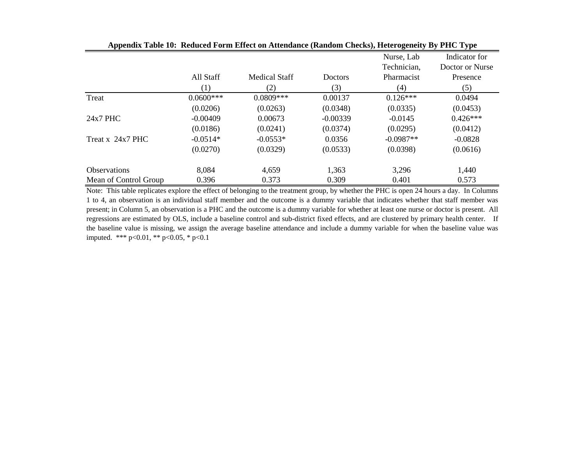|                       |             |                      |                | Nurse, Lab<br>Technician, | Indicator for<br>Doctor or Nurse |
|-----------------------|-------------|----------------------|----------------|---------------------------|----------------------------------|
|                       | All Staff   | <b>Medical Staff</b> | <b>Doctors</b> | Pharmacist                | Presence                         |
|                       | (1)         | (2)                  | (3)            | (4)                       | (5)                              |
| Treat                 | $0.0600***$ | $0.0809***$          | 0.00137        | $0.126***$                | 0.0494                           |
|                       | (0.0206)    | (0.0263)             | (0.0348)       | (0.0335)                  | (0.0453)                         |
| $24x7$ PHC            | $-0.00409$  | 0.00673              | $-0.00339$     | $-0.0145$                 | $0.426***$                       |
|                       | (0.0186)    | (0.0241)             | (0.0374)       | (0.0295)                  | (0.0412)                         |
| Treat x 24x7 PHC      | $-0.0514*$  | $-0.0553*$           | 0.0356         | $-0.0987**$               | $-0.0828$                        |
|                       | (0.0270)    | (0.0329)             | (0.0533)       | (0.0398)                  | (0.0616)                         |
| <b>Observations</b>   | 8,084       | 4,659                | 1,363          | 3,296                     | 1,440                            |
| Mean of Control Group | 0.396       | 0.373                | 0.309          | 0.401                     | 0.573                            |

**Appendix Table 10: Reduced Form Effect on Attendance (Random Checks), Heterogeneity By PHC Type**

Note: This table replicates explore the effect of belonging to the treatment group, by whether the PHC is open 24 hours a day. In Columns 1 to 4, an observation is an individual staff member and the outcome is a dummy variable that indicates whether that staff member was present; in Column 5, an observation is a PHC and the outcome is a dummy variable for whether at least one nurse or doctor is present. All regressions are estimated by OLS, include a baseline control and sub-district fixed effects, and are clustered by primary health center. If the baseline value is missing, we assign the average baseline attendance and include a dummy variable for when the baseline value was imputed. \*\*\* p<0.01, \*\* p<0.05, \* p<0.1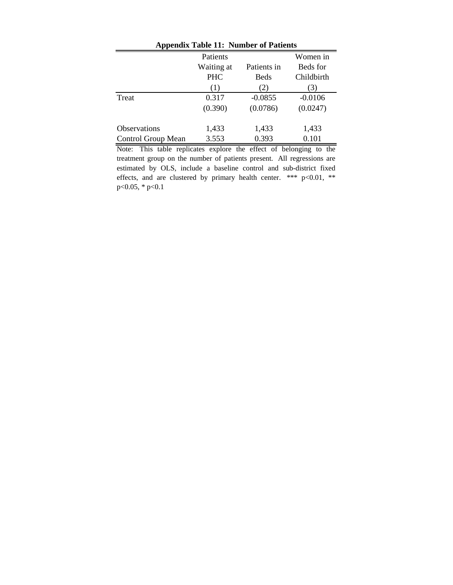| Appendix Table 11: Number of Patients |            |             |            |  |
|---------------------------------------|------------|-------------|------------|--|
|                                       | Patients   |             | Women in   |  |
|                                       | Waiting at | Patients in | Beds for   |  |
|                                       | <b>PHC</b> | Beds        | Childbirth |  |
|                                       | (1)        | (2)         | (3)        |  |
| Treat                                 | 0.317      | $-0.0855$   | $-0.0106$  |  |
|                                       | (0.390)    | (0.0786)    | (0.0247)   |  |
| <b>Observations</b>                   | 1,433      | 1,433       | 1,433      |  |
| Control Group Mean                    | 3.553      | 0.393       | 0.101      |  |

**Appendix Table 11: Number of Patients**

Note: This table replicates explore the effect of belonging to the treatment group on the number of patients present. All regressions are estimated by OLS, include a baseline control and sub-district fixed effects, and are clustered by primary health center. \*\*\* p<0.01, \*\* p<0.05, \* p<0.1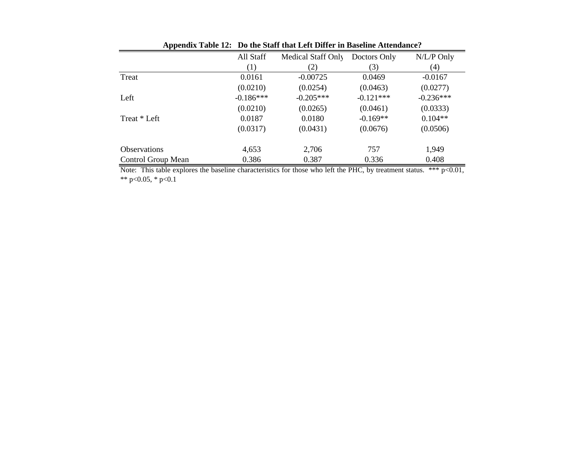|                     | All Staff   | Medical Staff Only | Doctors Only | N/L/P Only  |
|---------------------|-------------|--------------------|--------------|-------------|
|                     | (1)         | (2)                | (3)          | (4)         |
| Treat               | 0.0161      | $-0.00725$         | 0.0469       | $-0.0167$   |
|                     | (0.0210)    | (0.0254)           | (0.0463)     | (0.0277)    |
| Left                | $-0.186***$ | $-0.205***$        | $-0.121***$  | $-0.236***$ |
|                     | (0.0210)    | (0.0265)           | (0.0461)     | (0.0333)    |
| Treat * Left        | 0.0187      | 0.0180             | $-0.169**$   | $0.104**$   |
|                     | (0.0317)    | (0.0431)           | (0.0676)     | (0.0506)    |
| <b>Observations</b> | 4,653       | 2,706              | 757          | 1,949       |
| Control Group Mean  | 0.386       | 0.387              | 0.336        | 0.408       |

**Appendix Table 12: Do the Staff that Left Differ in Baseline Attendance?**

Note: This table explores the baseline characteristics for those who left the PHC, by treatment status. \*\*\* p<0.01, \*\* p<0.05, \* p<0.1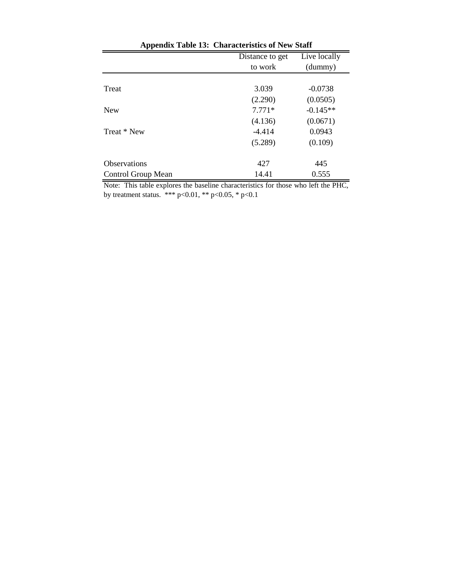| r r                 | Distance to get | Live locally |
|---------------------|-----------------|--------------|
|                     | to work         | (dummy)      |
|                     |                 |              |
| Treat               | 3.039           | $-0.0738$    |
|                     | (2.290)         | (0.0505)     |
| <b>New</b>          | $7.771*$        | $-0.145**$   |
|                     | (4.136)         | (0.0671)     |
| Treat * New         | $-4.414$        | 0.0943       |
|                     | (5.289)         | (0.109)      |
|                     |                 |              |
| <b>Observations</b> | 427             | 445          |
| Control Group Mean  | 14.41           | 0.555        |

Note: This table explores the baseline characteristics for those who left the PHC, by treatment status. \*\*\*  $p<0.01$ , \*\*  $p<0.05$ , \*  $p<0.1$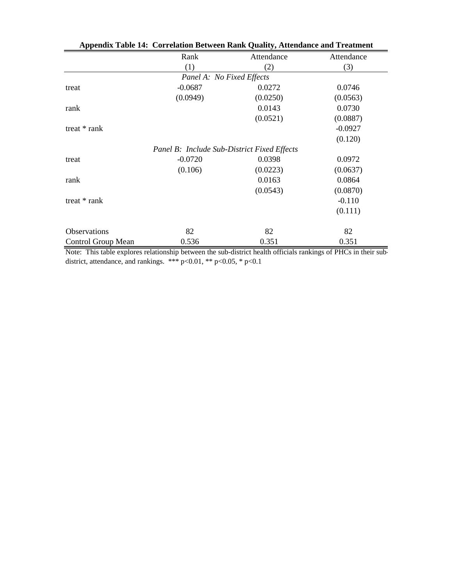| Appendix Table 14: Correlation Between Rank Quality, Attendance and Treatment |                                                    |            |            |  |
|-------------------------------------------------------------------------------|----------------------------------------------------|------------|------------|--|
|                                                                               | Rank                                               | Attendance | Attendance |  |
|                                                                               | (1)                                                | (2)        | (3)        |  |
|                                                                               | Panel A: No Fixed Effects                          |            |            |  |
| treat                                                                         | $-0.0687$                                          | 0.0272     | 0.0746     |  |
|                                                                               | (0.0949)                                           | (0.0250)   | (0.0563)   |  |
| rank                                                                          |                                                    | 0.0143     | 0.0730     |  |
|                                                                               |                                                    | (0.0521)   | (0.0887)   |  |
| treat $*$ rank                                                                |                                                    |            | $-0.0927$  |  |
|                                                                               |                                                    |            | (0.120)    |  |
|                                                                               | <b>Panel B: Include Sub-District Fixed Effects</b> |            |            |  |
| treat                                                                         | $-0.0720$                                          | 0.0398     | 0.0972     |  |
|                                                                               | (0.106)                                            | (0.0223)   | (0.0637)   |  |
| rank                                                                          |                                                    | 0.0163     | 0.0864     |  |
|                                                                               |                                                    | (0.0543)   | (0.0870)   |  |
| treat $*$ rank                                                                |                                                    |            | $-0.110$   |  |
|                                                                               |                                                    |            | (0.111)    |  |
| <b>Observations</b>                                                           | 82                                                 | 82         | 82         |  |
| Control Group Mean                                                            | 0.536                                              | 0.351      | 0.351      |  |

|  | Appendix Table 14: Correlation Between Rank Quality, Attendance and Treatment |  |
|--|-------------------------------------------------------------------------------|--|
|--|-------------------------------------------------------------------------------|--|

Note: This table explores relationship between the sub-district health officials rankings of PHCs in their subdistrict, attendance, and rankings.  $***$  p<0.01,  $**$  p<0.05,  $*$  p<0.1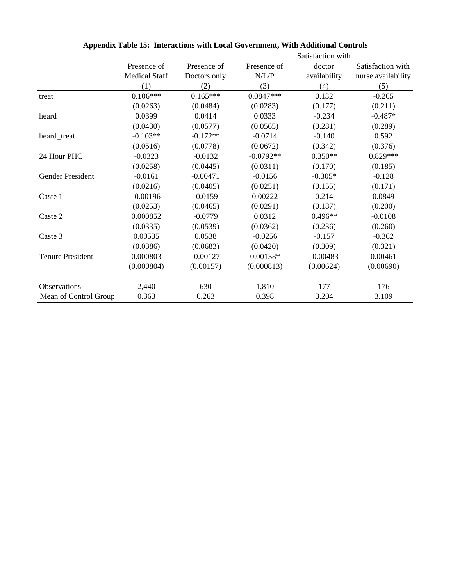|                         |                      |              |             | Satisfaction with |                    |  |
|-------------------------|----------------------|--------------|-------------|-------------------|--------------------|--|
|                         | Presence of          | Presence of  | Presence of | doctor            | Satisfaction with  |  |
|                         | <b>Medical Staff</b> | Doctors only | N/L/P       | availability      | nurse availability |  |
|                         | (1)                  | (2)          | (3)         | (4)               | (5)                |  |
| treat                   | $0.106***$           | $0.165***$   | $0.0847***$ | 0.132             | $-0.265$           |  |
|                         | (0.0263)             | (0.0484)     | (0.0283)    | (0.177)           | (0.211)            |  |
| heard                   | 0.0399               | 0.0414       | 0.0333      | $-0.234$          | $-0.487*$          |  |
|                         | (0.0430)             | (0.0577)     | (0.0565)    | (0.281)           | (0.289)            |  |
| heard_treat             | $-0.103**$           | $-0.172**$   | $-0.0714$   | $-0.140$          | 0.592              |  |
|                         | (0.0516)             | (0.0778)     | (0.0672)    | (0.342)           | (0.376)            |  |
| 24 Hour PHC             | $-0.0323$            | $-0.0132$    | $-0.0792**$ | $0.350**$         | $0.829***$         |  |
|                         | (0.0258)             | (0.0445)     | (0.0311)    | (0.170)           | (0.185)            |  |
| Gender President        | $-0.0161$            | $-0.00471$   | $-0.0156$   | $-0.305*$         | $-0.128$           |  |
|                         | (0.0216)             | (0.0405)     | (0.0251)    | (0.155)           | (0.171)            |  |
| Caste 1                 | $-0.00196$           | $-0.0159$    | 0.00222     | 0.214             | 0.0849             |  |
|                         | (0.0253)             | (0.0465)     | (0.0291)    | (0.187)           | (0.200)            |  |
| Caste 2                 | 0.000852             | $-0.0779$    | 0.0312      | 0.496**           | $-0.0108$          |  |
|                         | (0.0335)             | (0.0539)     | (0.0362)    | (0.236)           | (0.260)            |  |
| Caste 3                 | 0.00535              | 0.0538       | $-0.0256$   | $-0.157$          | $-0.362$           |  |
|                         | (0.0386)             | (0.0683)     | (0.0420)    | (0.309)           | (0.321)            |  |
| <b>Tenure President</b> | 0.000803             | $-0.00127$   | $0.00138*$  | $-0.00483$        | 0.00461            |  |
|                         | (0.000804)           | (0.00157)    | (0.000813)  | (0.00624)         | (0.00690)          |  |
| <b>Observations</b>     | 2,440                | 630          | 1,810       | 177               | 176                |  |
| Mean of Control Group   | 0.363                | 0.263        | 0.398       | 3.204             | 3.109              |  |

| Appendix Table 15: Interactions with Local Government, With Additional Controls |  |
|---------------------------------------------------------------------------------|--|
|---------------------------------------------------------------------------------|--|